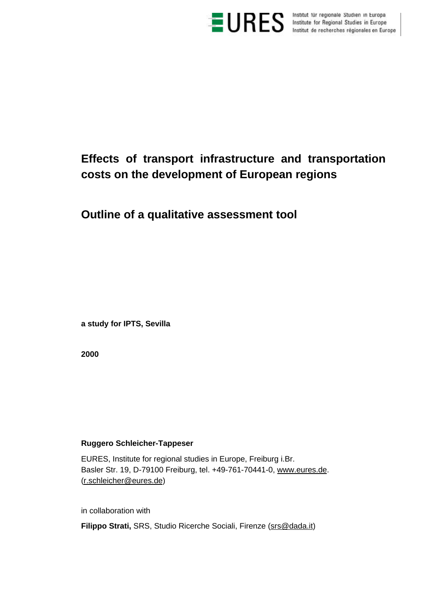

**ES** Institut für regionale Studien in Europa<br>Institute for Regional Studies in Europe<br>Institut de recherches régionales en Europe

# **Effects of transport infrastructure and transportation costs on the development of European regions**

**Outline of a qualitative assessment tool**

**a study for IPTS, Sevilla**

**2000**

## **Ruggero Schleicher-Tappeser**

EURES, Institute for regional studies in Europe, Freiburg i.Br. Basler Str. 19, D-79100 Freiburg, tel. +49-761-70441-0, www.eures.de. (r.schleicher@eures.de)

in collaboration with

Filippo Strati, SRS, Studio Ricerche Sociali, Firenze (Srs@dada.it)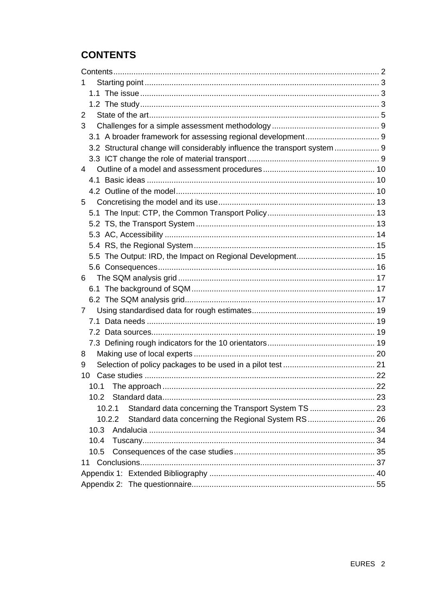# **CONTENTS**

| 2                                                                         |  |
|---------------------------------------------------------------------------|--|
| 3                                                                         |  |
|                                                                           |  |
| 3.2 Structural change will considerably influence the transport system  9 |  |
|                                                                           |  |
| 4                                                                         |  |
|                                                                           |  |
|                                                                           |  |
| 5                                                                         |  |
|                                                                           |  |
|                                                                           |  |
|                                                                           |  |
|                                                                           |  |
| 5.5 The Output: IRD, the Impact on Regional Development 15                |  |
|                                                                           |  |
| 6                                                                         |  |
|                                                                           |  |
|                                                                           |  |
| 7                                                                         |  |
|                                                                           |  |
|                                                                           |  |
|                                                                           |  |
| 8                                                                         |  |
| 9                                                                         |  |
| 10                                                                        |  |
|                                                                           |  |
| 10.2                                                                      |  |
| Standard data concerning the Transport System TS  23<br>10.2.1            |  |
| Standard data concerning the Regional System RS 26<br>10.2.2              |  |
| 10.3                                                                      |  |
| 10.4                                                                      |  |
| 10.5                                                                      |  |
| 11                                                                        |  |
|                                                                           |  |
|                                                                           |  |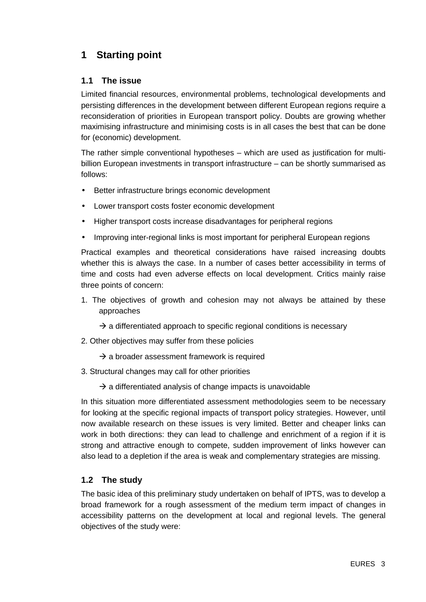# **1 Starting point**

## **1.1 The issue**

Limited financial resources, environmental problems, technological developments and persisting differences in the development between different European regions require a reconsideration of priorities in European transport policy. Doubts are growing whether maximising infrastructure and minimising costs is in all cases the best that can be done for (economic) development.

The rather simple conventional hypotheses – which are used as justification for multibillion European investments in transport infrastructure – can be shortly summarised as follows:

- Better infrastructure brings economic development
- Lower transport costs foster economic development
- Higher transport costs increase disadvantages for peripheral regions
- Improving inter-regional links is most important for peripheral European regions

Practical examples and theoretical considerations have raised increasing doubts whether this is always the case. In a number of cases better accessibility in terms of time and costs had even adverse effects on local development. Critics mainly raise three points of concern:

- 1. The objectives of growth and cohesion may not always be attained by these approaches
	- $\rightarrow$  a differentiated approach to specific regional conditions is necessary
- 2. Other objectives may suffer from these policies
	- $\rightarrow$  a broader assessment framework is required
- 3. Structural changes may call for other priorities
	- $\rightarrow$  a differentiated analysis of change impacts is unavoidable

In this situation more differentiated assessment methodologies seem to be necessary for looking at the specific regional impacts of transport policy strategies. However, until now available research on these issues is very limited. Better and cheaper links can work in both directions: they can lead to challenge and enrichment of a region if it is strong and attractive enough to compete, sudden improvement of links however can also lead to a depletion if the area is weak and complementary strategies are missing.

## **1.2 The study**

The basic idea of this preliminary study undertaken on behalf of IPTS, was to develop a broad framework for a rough assessment of the medium term impact of changes in accessibility patterns on the development at local and regional levels. The general objectives of the study were: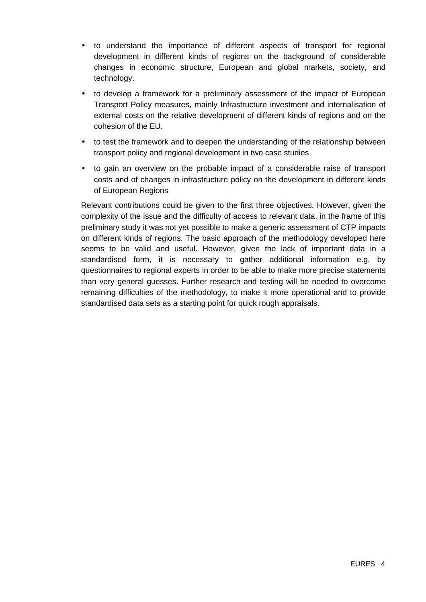- to understand the importance of different aspects of transport for regional development in different kinds of regions on the background of considerable changes in economic structure, European and global markets, society, and technology.
- to develop a framework for a preliminary assessment of the impact of European Transport Policy measures, mainly Infrastructure investment and internalisation of external costs on the relative development of different kinds of regions and on the cohesion of the EU.
- to test the framework and to deepen the understanding of the relationship between transport policy and regional development in two case studies
- to gain an overview on the probable impact of a considerable raise of transport costs and of changes in infrastructure policy on the development in different kinds of European Regions

Relevant contributions could be given to the first three objectives. However, given the complexity of the issue and the difficulty of access to relevant data, in the frame of this preliminary study it was not yet possible to make a generic assessment of CTP impacts on different kinds of regions. The basic approach of the methodology developed here seems to be valid and useful. However, given the lack of important data in a standardised form, it is necessary to gather additional information e.g. by questionnaires to regional experts in order to be able to make more precise statements than very general guesses. Further research and testing will be needed to overcome remaining difficulties of the methodology, to make it more operational and to provide standardised data sets as a starting point for quick rough appraisals.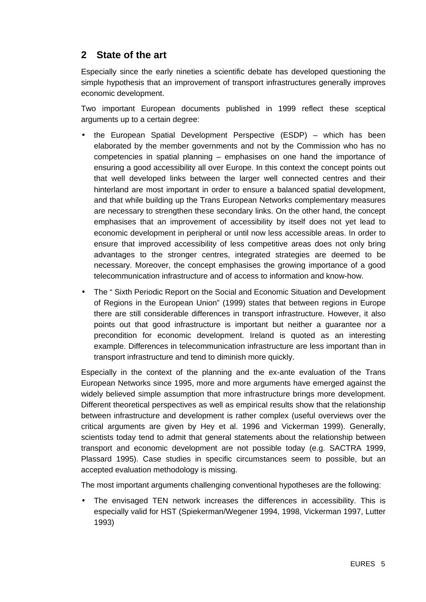## **2 State of the art**

Especially since the early nineties a scientific debate has developed questioning the simple hypothesis that an improvement of transport infrastructures generally improves economic development.

Two important European documents published in 1999 reflect these sceptical arguments up to a certain degree:

- the European Spatial Development Perspective (ESDP) which has been elaborated by the member governments and not by the Commission who has no competencies in spatial planning – emphasises on one hand the importance of ensuring a good accessibility all over Europe. In this context the concept points out that well developed links between the larger well connected centres and their hinterland are most important in order to ensure a balanced spatial development, and that while building up the Trans European Networks complementary measures are necessary to strengthen these secondary links. On the other hand, the concept emphasises that an improvement of accessibility by itself does not yet lead to economic development in peripheral or until now less accessible areas. In order to ensure that improved accessibility of less competitive areas does not only bring advantages to the stronger centres, integrated strategies are deemed to be necessary. Moreover, the concept emphasises the growing importance of a good telecommunication infrastructure and of access to information and know-how.
- The " Sixth Periodic Report on the Social and Economic Situation and Development of Regions in the European Union" (1999) states that between regions in Europe there are still considerable differences in transport infrastructure. However, it also points out that good infrastructure is important but neither a guarantee nor a precondition for economic development. Ireland is quoted as an interesting example. Differences in telecommunication infrastructure are less important than in transport infrastructure and tend to diminish more quickly.

Especially in the context of the planning and the ex-ante evaluation of the Trans European Networks since 1995, more and more arguments have emerged against the widely believed simple assumption that more infrastructure brings more development. Different theoretical perspectives as well as empirical results show that the relationship between infrastructure and development is rather complex (useful overviews over the critical arguments are given by Hey et al. 1996 and Vickerman 1999). Generally, scientists today tend to admit that general statements about the relationship between transport and economic development are not possible today (e.g. SACTRA 1999, Plassard 1995). Case studies in specific circumstances seem to possible, but an accepted evaluation methodology is missing.

The most important arguments challenging conventional hypotheses are the following:

• The envisaged TEN network increases the differences in accessibility. This is especially valid for HST (Spiekerman/Wegener 1994, 1998, Vickerman 1997, Lutter 1993)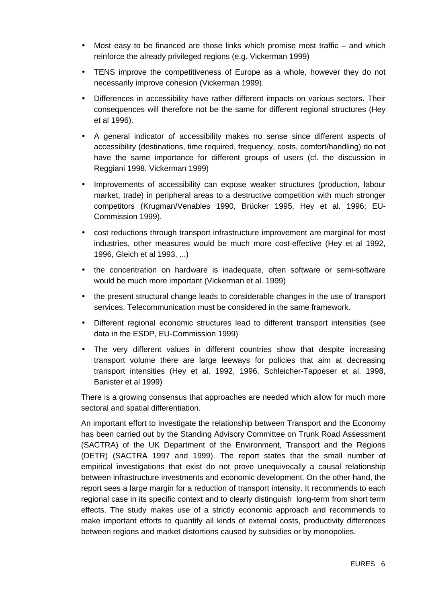- Most easy to be financed are those links which promise most traffic and which reinforce the already privileged regions (e.g. Vickerman 1999)
- TENS improve the competitiveness of Europe as a whole, however they do not necessarily improve cohesion (Vickerman 1999).
- Differences in accessibility have rather different impacts on various sectors. Their consequences will therefore not be the same for different regional structures (Hey et al 1996).
- A general indicator of accessibility makes no sense since different aspects of accessibility (destinations, time required, frequency, costs, comfort/handling) do not have the same importance for different groups of users (cf. the discussion in Reggiani 1998, Vickerman 1999)
- Improvements of accessibility can expose weaker structures (production, labour market, trade) in peripheral areas to a destructive competition with much stronger competitors (Krugman/Venables 1990, Brücker 1995, Hey et al. 1996; EU-Commission 1999).
- cost reductions through transport infrastructure improvement are marginal for most industries, other measures would be much more cost-effective (Hey et al 1992, 1996, Gleich et al 1993, ...)
- the concentration on hardware is inadequate, often software or semi-software would be much more important (Vickerman et al. 1999)
- the present structural change leads to considerable changes in the use of transport services. Telecommunication must be considered in the same framework.
- Different regional economic structures lead to different transport intensities (see data in the ESDP, EU-Commission 1999)
- The very different values in different countries show that despite increasing transport volume there are large leeways for policies that aim at decreasing transport intensities (Hey et al. 1992, 1996, Schleicher-Tappeser et al. 1998, Banister et al 1999)

There is a growing consensus that approaches are needed which allow for much more sectoral and spatial differentiation.

An important effort to investigate the relationship between Transport and the Economy has been carried out by the Standing Advisory Committee on Trunk Road Assessment (SACTRA) of the UK Department of the Environment, Transport and the Regions (DETR) (SACTRA 1997 and 1999). The report states that the small number of empirical investigations that exist do not prove unequivocally a causal relationship between infrastructure investments and economic development. On the other hand, the report sees a large margin for a reduction of transport intensity. It recommends to each regional case in its specific context and to clearly distinguish long-term from short term effects. The study makes use of a strictly economic approach and recommends to make important efforts to quantify all kinds of external costs, productivity differences between regions and market distortions caused by subsidies or by monopolies.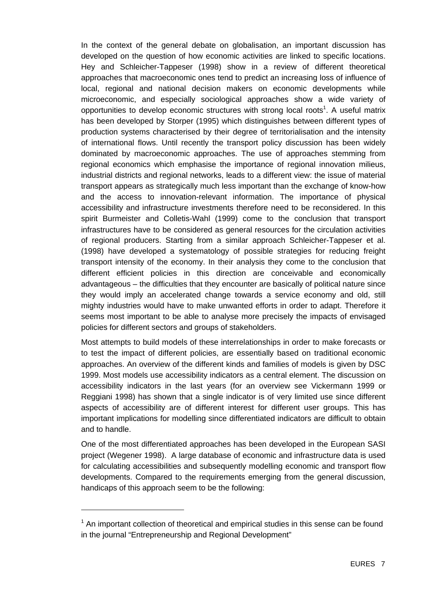In the context of the general debate on globalisation, an important discussion has developed on the question of how economic activities are linked to specific locations. Hey and Schleicher-Tappeser (1998) show in a review of different theoretical approaches that macroeconomic ones tend to predict an increasing loss of influence of local, regional and national decision makers on economic developments while microeconomic, and especially sociological approaches show a wide variety of opportunities to develop economic structures with strong local roots<sup>1</sup>. A useful matrix has been developed by Storper (1995) which distinguishes between different types of production systems characterised by their degree of territorialisation and the intensity of international flows. Until recently the transport policy discussion has been widely dominated by macroeconomic approaches. The use of approaches stemming from regional economics which emphasise the importance of regional innovation milieus, industrial districts and regional networks, leads to a different view: the issue of material transport appears as strategically much less important than the exchange of know-how and the access to innovation-relevant information. The importance of physical accessibility and infrastructure investments therefore need to be reconsidered. In this spirit Burmeister and Colletis-Wahl (1999) come to the conclusion that transport infrastructures have to be considered as general resources for the circulation activities of regional producers. Starting from a similar approach Schleicher-Tappeser et al. (1998) have developed a systematology of possible strategies for reducing freight transport intensity of the economy. In their analysis they come to the conclusion that different efficient policies in this direction are conceivable and economically advantageous – the difficulties that they encounter are basically of political nature since they would imply an accelerated change towards a service economy and old, still mighty industries would have to make unwanted efforts in order to adapt. Therefore it seems most important to be able to analyse more precisely the impacts of envisaged policies for different sectors and groups of stakeholders.

Most attempts to build models of these interrelationships in order to make forecasts or to test the impact of different policies, are essentially based on traditional economic approaches. An overview of the different kinds and families of models is given by DSC 1999. Most models use accessibility indicators as a central element. The discussion on accessibility indicators in the last years (for an overview see Vickermann 1999 or Reggiani 1998) has shown that a single indicator is of very limited use since different aspects of accessibility are of different interest for different user groups. This has important implications for modelling since differentiated indicators are difficult to obtain and to handle.

One of the most differentiated approaches has been developed in the European SASI project (Wegener 1998). A large database of economic and infrastructure data is used for calculating accessibilities and subsequently modelling economic and transport flow developments. Compared to the requirements emerging from the general discussion, handicaps of this approach seem to be the following:

 $\overline{a}$ 

 $1$  An important collection of theoretical and empirical studies in this sense can be found in the journal "Entrepreneurship and Regional Development"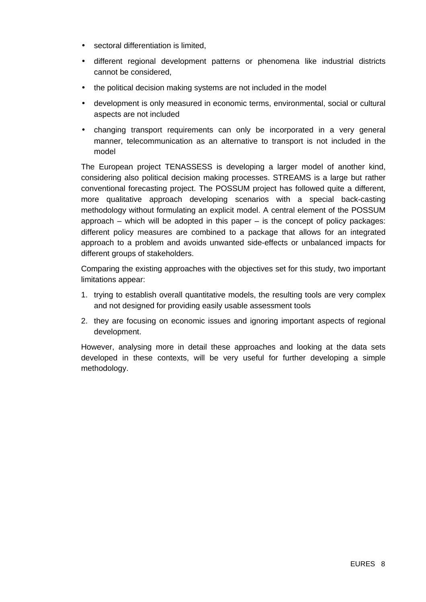- sectoral differentiation is limited,
- different regional development patterns or phenomena like industrial districts cannot be considered,
- the political decision making systems are not included in the model
- development is only measured in economic terms, environmental, social or cultural aspects are not included
- changing transport requirements can only be incorporated in a very general manner, telecommunication as an alternative to transport is not included in the model

The European project TENASSESS is developing a larger model of another kind, considering also political decision making processes. STREAMS is a large but rather conventional forecasting project. The POSSUM project has followed quite a different, more qualitative approach developing scenarios with a special back-casting methodology without formulating an explicit model. A central element of the POSSUM approach – which will be adopted in this paper  $-$  is the concept of policy packages: different policy measures are combined to a package that allows for an integrated approach to a problem and avoids unwanted side-effects or unbalanced impacts for different groups of stakeholders.

Comparing the existing approaches with the objectives set for this study, two important limitations appear:

- 1. trying to establish overall quantitative models, the resulting tools are very complex and not designed for providing easily usable assessment tools
- 2. they are focusing on economic issues and ignoring important aspects of regional development.

However, analysing more in detail these approaches and looking at the data sets developed in these contexts, will be very useful for further developing a simple methodology.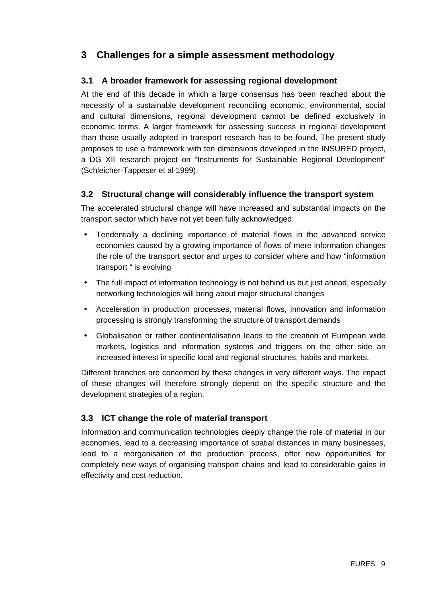# **3 Challenges for a simple assessment methodology**

## **3.1 A broader framework for assessing regional development**

At the end of this decade in which a large consensus has been reached about the necessity of a sustainable development reconciling economic, environmental, social and cultural dimensions, regional development cannot be defined exclusively in economic terms. A larger framework for assessing success in regional development than those usually adopted in transport research has to be found. The present study proposes to use a framework with ten dimensions developed in the INSURED project, a DG XII research project on "Instruments for Sustainable Regional Development" (Schleicher-Tappeser et al 1999).

## **3.2 Structural change will considerably influence the transport system**

The accelerated structural change will have increased and substantial impacts on the transport sector which have not yet been fully acknowledged:

- Tendentially a declining importance of material flows in the advanced service economies caused by a growing importance of flows of mere information changes the role of the transport sector and urges to consider where and how "information transport " is evolving
- The full impact of information technology is not behind us but just ahead, especially networking technologies will bring about major structural changes
- Acceleration in production processes, material flows, innovation and information processing is strongly transforming the structure of transport demands
- Globalisation or rather continentalisation leads to the creation of European wide markets, logistics and information systems and triggers on the other side an increased interest in specific local and regional structures, habits and markets.

Different branches are concerned by these changes in very different ways. The impact of these changes will therefore strongly depend on the specific structure and the development strategies of a region.

## **3.3 ICT change the role of material transport**

Information and communication technologies deeply change the role of material in our economies, lead to a decreasing importance of spatial distances in many businesses, lead to a reorganisation of the production process, offer new opportunities for completely new ways of organising transport chains and lead to considerable gains in effectivity and cost reduction.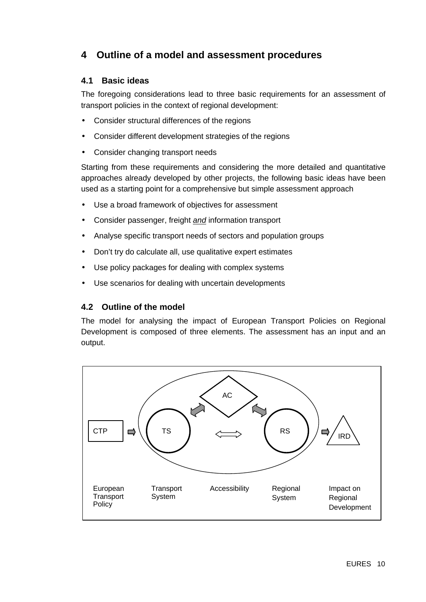# **4 Outline of a model and assessment procedures**

## **4.1 Basic ideas**

The foregoing considerations lead to three basic requirements for an assessment of transport policies in the context of regional development:

- Consider structural differences of the regions
- Consider different development strategies of the regions
- Consider changing transport needs

Starting from these requirements and considering the more detailed and quantitative approaches already developed by other projects, the following basic ideas have been used as a starting point for a comprehensive but simple assessment approach

- Use a broad framework of objectives for assessment
- Consider passenger, freight *and* information transport
- Analyse specific transport needs of sectors and population groups
- Don't try do calculate all, use qualitative expert estimates
- Use policy packages for dealing with complex systems
- Use scenarios for dealing with uncertain developments

## **4.2 Outline of the model**

The model for analysing the impact of European Transport Policies on Regional Development is composed of three elements. The assessment has an input and an output.

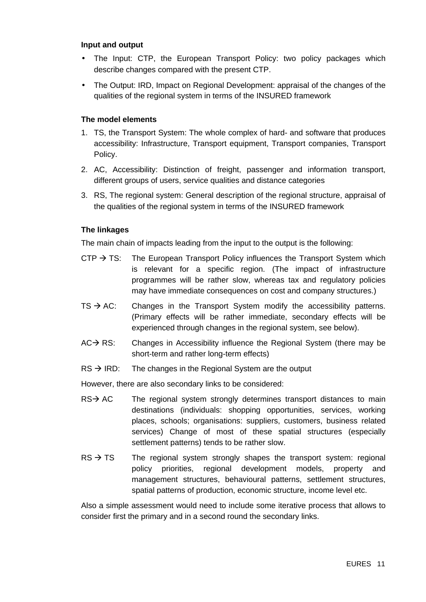#### **Input and output**

- The Input: CTP, the European Transport Policy: two policy packages which describe changes compared with the present CTP.
- The Output: IRD, Impact on Regional Development: appraisal of the changes of the qualities of the regional system in terms of the INSURED framework

#### **The model elements**

- 1. TS, the Transport System: The whole complex of hard- and software that produces accessibility: Infrastructure, Transport equipment, Transport companies, Transport Policy.
- 2. AC, Accessibility: Distinction of freight, passenger and information transport, different groups of users, service qualities and distance categories
- 3. RS, The regional system: General description of the regional structure, appraisal of the qualities of the regional system in terms of the INSURED framework

#### **The linkages**

The main chain of impacts leading from the input to the output is the following:

- CTP  $\rightarrow$  TS: The European Transport Policy influences the Transport System which is relevant for a specific region. (The impact of infrastructure programmes will be rather slow, whereas tax and regulatory policies may have immediate consequences on cost and company structures.)
- $TS \rightarrow AC$ : Changes in the Transport System modify the accessibility patterns. (Primary effects will be rather immediate, secondary effects will be experienced through changes in the regional system, see below).
- $AC \rightarrow RS$ : Changes in Accessibility influence the Regional System (there may be short-term and rather long-term effects)
- $RS \rightarrow IRD$ : The changes in the Regional System are the output

However, there are also secondary links to be considered:

- $RS \rightarrow AC$  The regional system strongly determines transport distances to main destinations (individuals: shopping opportunities, services, working places, schools; organisations: suppliers, customers, business related services) Change of most of these spatial structures (especially settlement patterns) tends to be rather slow.
- $RS \rightarrow TS$  The regional system strongly shapes the transport system: regional policy priorities, regional development models, property and management structures, behavioural patterns, settlement structures, spatial patterns of production, economic structure, income level etc.

Also a simple assessment would need to include some iterative process that allows to consider first the primary and in a second round the secondary links.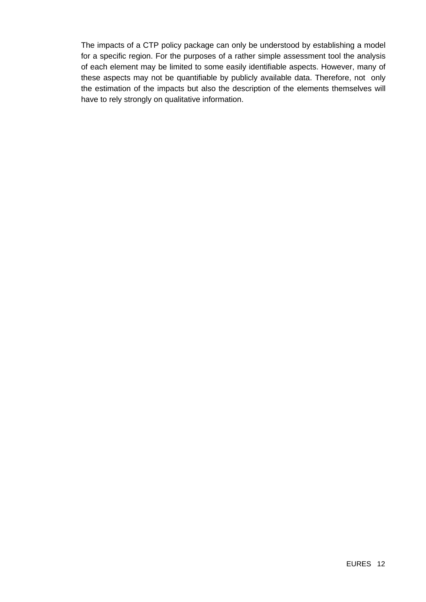The impacts of a CTP policy package can only be understood by establishing a model for a specific region. For the purposes of a rather simple assessment tool the analysis of each element may be limited to some easily identifiable aspects. However, many of these aspects may not be quantifiable by publicly available data. Therefore, not only the estimation of the impacts but also the description of the elements themselves will have to rely strongly on qualitative information.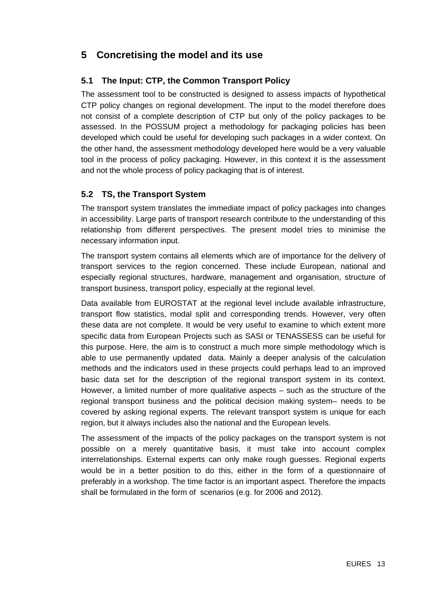# **5 Concretising the model and its use**

## **5.1 The Input: CTP, the Common Transport Policy**

The assessment tool to be constructed is designed to assess impacts of hypothetical CTP policy changes on regional development. The input to the model therefore does not consist of a complete description of CTP but only of the policy packages to be assessed. In the POSSUM project a methodology for packaging policies has been developed which could be useful for developing such packages in a wider context. On the other hand, the assessment methodology developed here would be a very valuable tool in the process of policy packaging. However, in this context it is the assessment and not the whole process of policy packaging that is of interest.

## **5.2 TS, the Transport System**

The transport system translates the immediate impact of policy packages into changes in accessibility. Large parts of transport research contribute to the understanding of this relationship from different perspectives. The present model tries to minimise the necessary information input.

The transport system contains all elements which are of importance for the delivery of transport services to the region concerned. These include European, national and especially regional structures, hardware, management and organisation, structure of transport business, transport policy, especially at the regional level.

Data available from EUROSTAT at the regional level include available infrastructure, transport flow statistics, modal split and corresponding trends. However, very often these data are not complete. It would be very useful to examine to which extent more specific data from European Projects such as SASI or TENASSESS can be useful for this purpose. Here, the aim is to construct a much more simple methodology which is able to use permanently updated data. Mainly a deeper analysis of the calculation methods and the indicators used in these projects could perhaps lead to an improved basic data set for the description of the regional transport system in its context. However, a limited number of more qualitative aspects – such as the structure of the regional transport business and the political decision making system– needs to be covered by asking regional experts. The relevant transport system is unique for each region, but it always includes also the national and the European levels.

The assessment of the impacts of the policy packages on the transport system is not possible on a merely quantitative basis, it must take into account complex interrelationships. External experts can only make rough guesses. Regional experts would be in a better position to do this, either in the form of a questionnaire of preferably in a workshop. The time factor is an important aspect. Therefore the impacts shall be formulated in the form of scenarios (e.g. for 2006 and 2012).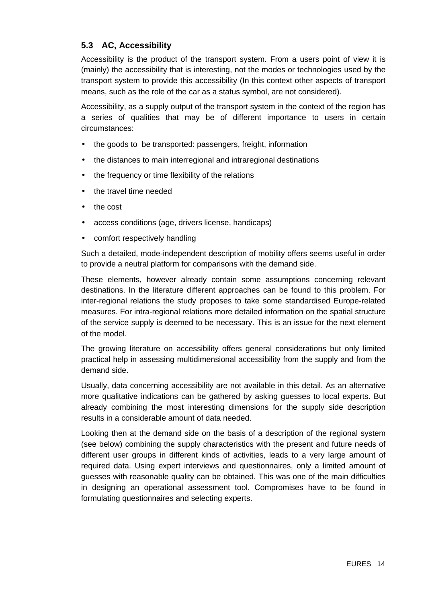## **5.3 AC, Accessibility**

Accessibility is the product of the transport system. From a users point of view it is (mainly) the accessibility that is interesting, not the modes or technologies used by the transport system to provide this accessibility (In this context other aspects of transport means, such as the role of the car as a status symbol, are not considered).

Accessibility, as a supply output of the transport system in the context of the region has a series of qualities that may be of different importance to users in certain circumstances:

- the goods to be transported: passengers, freight, information
- the distances to main interregional and intraregional destinations
- the frequency or time flexibility of the relations
- the travel time needed
- the cost
- access conditions (age, drivers license, handicaps)
- comfort respectively handling

Such a detailed, mode-independent description of mobility offers seems useful in order to provide a neutral platform for comparisons with the demand side.

These elements, however already contain some assumptions concerning relevant destinations. In the literature different approaches can be found to this problem. For inter-regional relations the study proposes to take some standardised Europe-related measures. For intra-regional relations more detailed information on the spatial structure of the service supply is deemed to be necessary. This is an issue for the next element of the model.

The growing literature on accessibility offers general considerations but only limited practical help in assessing multidimensional accessibility from the supply and from the demand side.

Usually, data concerning accessibility are not available in this detail. As an alternative more qualitative indications can be gathered by asking guesses to local experts. But already combining the most interesting dimensions for the supply side description results in a considerable amount of data needed.

Looking then at the demand side on the basis of a description of the regional system (see below) combining the supply characteristics with the present and future needs of different user groups in different kinds of activities, leads to a very large amount of required data. Using expert interviews and questionnaires, only a limited amount of guesses with reasonable quality can be obtained. This was one of the main difficulties in designing an operational assessment tool. Compromises have to be found in formulating questionnaires and selecting experts.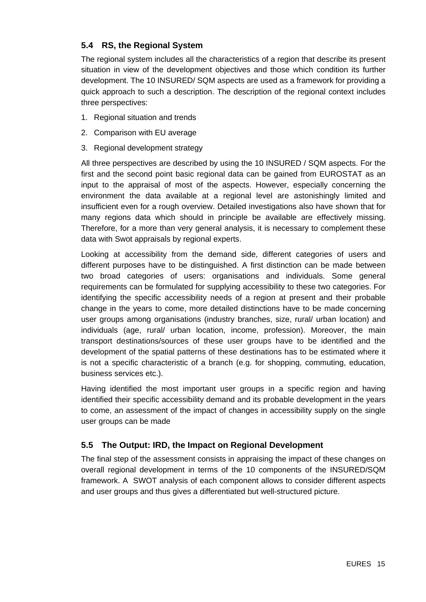## **5.4 RS, the Regional System**

The regional system includes all the characteristics of a region that describe its present situation in view of the development objectives and those which condition its further development. The 10 INSURED/ SQM aspects are used as a framework for providing a quick approach to such a description. The description of the regional context includes three perspectives:

- 1. Regional situation and trends
- 2. Comparison with EU average
- 3. Regional development strategy

All three perspectives are described by using the 10 INSURED / SQM aspects. For the first and the second point basic regional data can be gained from EUROSTAT as an input to the appraisal of most of the aspects. However, especially concerning the environment the data available at a regional level are astonishingly limited and insufficient even for a rough overview. Detailed investigations also have shown that for many regions data which should in principle be available are effectively missing. Therefore, for a more than very general analysis, it is necessary to complement these data with Swot appraisals by regional experts.

Looking at accessibility from the demand side, different categories of users and different purposes have to be distinguished. A first distinction can be made between two broad categories of users: organisations and individuals. Some general requirements can be formulated for supplying accessibility to these two categories. For identifying the specific accessibility needs of a region at present and their probable change in the years to come, more detailed distinctions have to be made concerning user groups among organisations (industry branches, size, rural/ urban location) and individuals (age, rural/ urban location, income, profession). Moreover, the main transport destinations/sources of these user groups have to be identified and the development of the spatial patterns of these destinations has to be estimated where it is not a specific characteristic of a branch (e.g. for shopping, commuting, education, business services etc.).

Having identified the most important user groups in a specific region and having identified their specific accessibility demand and its probable development in the years to come, an assessment of the impact of changes in accessibility supply on the single user groups can be made

## **5.5 The Output: IRD, the Impact on Regional Development**

The final step of the assessment consists in appraising the impact of these changes on overall regional development in terms of the 10 components of the INSURED/SQM framework. A SWOT analysis of each component allows to consider different aspects and user groups and thus gives a differentiated but well-structured picture.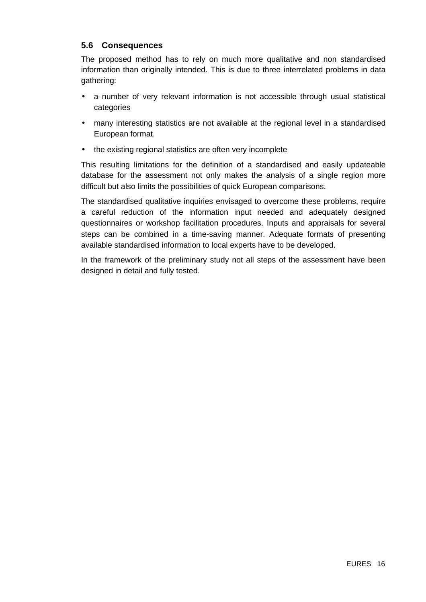## **5.6 Consequences**

The proposed method has to rely on much more qualitative and non standardised information than originally intended. This is due to three interrelated problems in data gathering:

- a number of very relevant information is not accessible through usual statistical categories
- many interesting statistics are not available at the regional level in a standardised European format.
- the existing regional statistics are often very incomplete

This resulting limitations for the definition of a standardised and easily updateable database for the assessment not only makes the analysis of a single region more difficult but also limits the possibilities of quick European comparisons.

The standardised qualitative inquiries envisaged to overcome these problems, require a careful reduction of the information input needed and adequately designed questionnaires or workshop facilitation procedures. Inputs and appraisals for several steps can be combined in a time-saving manner. Adequate formats of presenting available standardised information to local experts have to be developed.

In the framework of the preliminary study not all steps of the assessment have been designed in detail and fully tested.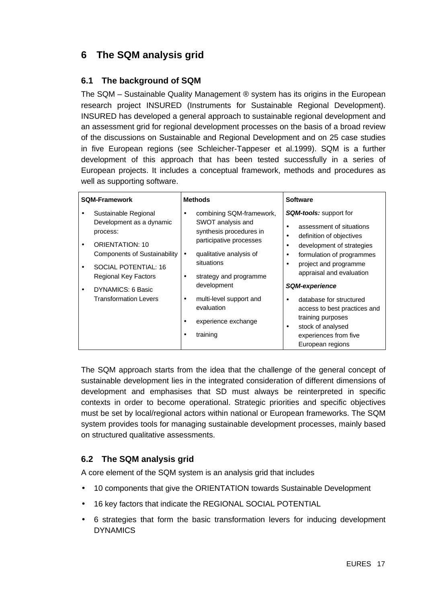# **6 The SQM analysis grid**

## **6.1 The background of SQM**

The SQM – Sustainable Quality Management ® system has its origins in the European research project INSURED (Instruments for Sustainable Regional Development). INSURED has developed a general approach to sustainable regional development and an assessment grid for regional development processes on the basis of a broad review of the discussions on Sustainable and Regional Development and on 25 case studies in five European regions (see Schleicher-Tappeser et al.1999). SQM is a further development of this approach that has been tested successfully in a series of European projects. It includes a conceptual framework, methods and procedures as well as supporting software.

| <b>SQM-Framework</b> |                                                                                                                                                       | <b>Methods</b>                                                                                                                                                         |                                                                                                                                                                                                     |
|----------------------|-------------------------------------------------------------------------------------------------------------------------------------------------------|------------------------------------------------------------------------------------------------------------------------------------------------------------------------|-----------------------------------------------------------------------------------------------------------------------------------------------------------------------------------------------------|
|                      | Sustainable Regional<br>Development as a dynamic<br>process:<br><b>ORIENTATION: 10</b><br><b>Components of Sustainability</b><br>SOCIAL POTENTIAL: 16 | combining SQM-framework,<br>$\bullet$<br>SWOT analysis and<br>synthesis procedures in<br>participative processes<br>qualitative analysis of<br>$\bullet$<br>situations | <b>SQM-tools:</b> support for<br>assessment of situations<br>definition of objectives<br>development of strategies<br>formulation of programmes<br>project and programme                            |
|                      | <b>Regional Key Factors</b><br>DYNAMICS: 6 Basic<br><b>Transformation Levers</b>                                                                      | strategy and programme<br>$\bullet$<br>development<br>multi-level support and<br>$\bullet$<br>evaluation<br>experience exchange<br>training                            | appraisal and evaluation<br><b>SQM-experience</b><br>database for structured<br>access to best practices and<br>training purposes<br>stock of analysed<br>experiences from five<br>European regions |

The SQM approach starts from the idea that the challenge of the general concept of sustainable development lies in the integrated consideration of different dimensions of development and emphasises that SD must always be reinterpreted in specific contexts in order to become operational. Strategic priorities and specific objectives must be set by local/regional actors within national or European frameworks. The SQM system provides tools for managing sustainable development processes, mainly based on structured qualitative assessments.

## **6.2 The SQM analysis grid**

A core element of the SQM system is an analysis grid that includes

- 10 components that give the ORIENTATION towards Sustainable Development
- 16 key factors that indicate the REGIONAL SOCIAL POTENTIAL
- 6 strategies that form the basic transformation levers for inducing development DYNAMICS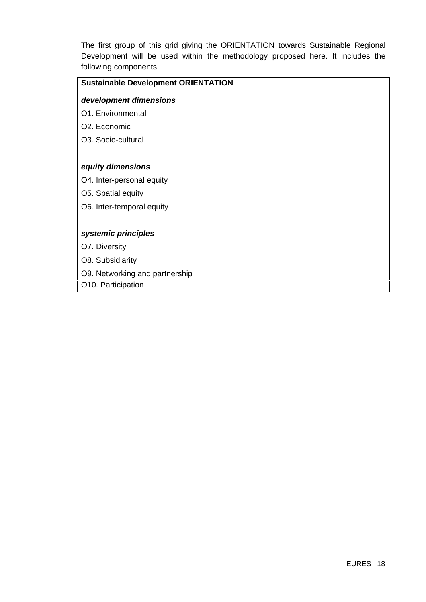The first group of this grid giving the ORIENTATION towards Sustainable Regional Development will be used within the methodology proposed here. It includes the following components.

#### **Sustainable Development ORIENTATION**

#### *development dimensions*

- O1. Environmental
- O2. Economic
- O3. Socio-cultural

#### *equity dimensions*

- O4. Inter-personal equity
- O5. Spatial equity
- O6. Inter-temporal equity

#### *systemic principles*

- O7. Diversity
- O8. Subsidiarity
- O9. Networking and partnership
- O10. Participation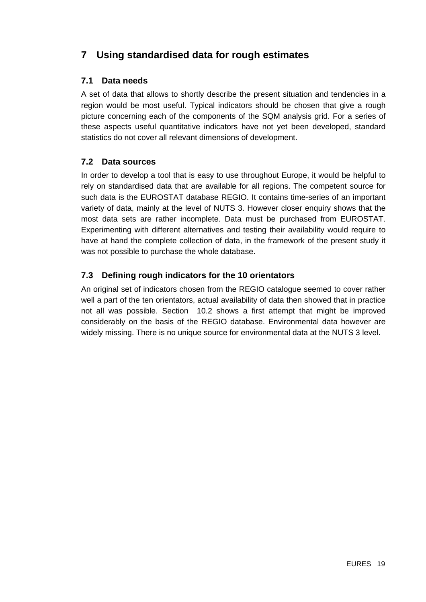# **7 Using standardised data for rough estimates**

## **7.1 Data needs**

A set of data that allows to shortly describe the present situation and tendencies in a region would be most useful. Typical indicators should be chosen that give a rough picture concerning each of the components of the SQM analysis grid. For a series of these aspects useful quantitative indicators have not yet been developed, standard statistics do not cover all relevant dimensions of development.

## **7.2 Data sources**

In order to develop a tool that is easy to use throughout Europe, it would be helpful to rely on standardised data that are available for all regions. The competent source for such data is the EUROSTAT database REGIO. It contains time-series of an important variety of data, mainly at the level of NUTS 3. However closer enquiry shows that the most data sets are rather incomplete. Data must be purchased from EUROSTAT. Experimenting with different alternatives and testing their availability would require to have at hand the complete collection of data, in the framework of the present study it was not possible to purchase the whole database.

## **7.3 Defining rough indicators for the 10 orientators**

An original set of indicators chosen from the REGIO catalogue seemed to cover rather well a part of the ten orientators, actual availability of data then showed that in practice not all was possible. Section 10.2 shows a first attempt that might be improved considerably on the basis of the REGIO database. Environmental data however are widely missing. There is no unique source for environmental data at the NUTS 3 level.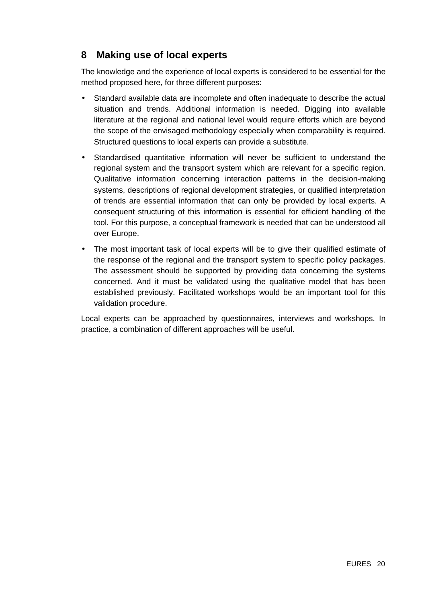## **8 Making use of local experts**

The knowledge and the experience of local experts is considered to be essential for the method proposed here, for three different purposes:

- Standard available data are incomplete and often inadequate to describe the actual situation and trends. Additional information is needed. Digging into available literature at the regional and national level would require efforts which are beyond the scope of the envisaged methodology especially when comparability is required. Structured questions to local experts can provide a substitute.
- Standardised quantitative information will never be sufficient to understand the regional system and the transport system which are relevant for a specific region. Qualitative information concerning interaction patterns in the decision-making systems, descriptions of regional development strategies, or qualified interpretation of trends are essential information that can only be provided by local experts. A consequent structuring of this information is essential for efficient handling of the tool. For this purpose, a conceptual framework is needed that can be understood all over Europe.
- The most important task of local experts will be to give their qualified estimate of the response of the regional and the transport system to specific policy packages. The assessment should be supported by providing data concerning the systems concerned. And it must be validated using the qualitative model that has been established previously. Facilitated workshops would be an important tool for this validation procedure.

Local experts can be approached by questionnaires, interviews and workshops. In practice, a combination of different approaches will be useful.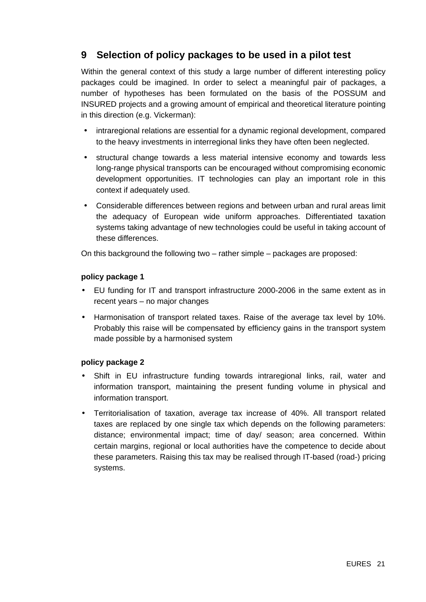# **9 Selection of policy packages to be used in a pilot test**

Within the general context of this study a large number of different interesting policy packages could be imagined. In order to select a meaningful pair of packages, a number of hypotheses has been formulated on the basis of the POSSUM and INSURED projects and a growing amount of empirical and theoretical literature pointing in this direction (e.g. Vickerman):

- intraregional relations are essential for a dynamic regional development, compared to the heavy investments in interregional links they have often been neglected.
- structural change towards a less material intensive economy and towards less long-range physical transports can be encouraged without compromising economic development opportunities. IT technologies can play an important role in this context if adequately used.
- Considerable differences between regions and between urban and rural areas limit the adequacy of European wide uniform approaches. Differentiated taxation systems taking advantage of new technologies could be useful in taking account of these differences.

On this background the following two – rather simple – packages are proposed:

#### **policy package 1**

- EU funding for IT and transport infrastructure 2000-2006 in the same extent as in recent years – no major changes
- Harmonisation of transport related taxes. Raise of the average tax level by 10%. Probably this raise will be compensated by efficiency gains in the transport system made possible by a harmonised system

#### **policy package 2**

- Shift in EU infrastructure funding towards intraregional links, rail, water and information transport, maintaining the present funding volume in physical and information transport.
- Territorialisation of taxation, average tax increase of 40%. All transport related taxes are replaced by one single tax which depends on the following parameters: distance; environmental impact; time of day/ season; area concerned. Within certain margins, regional or local authorities have the competence to decide about these parameters. Raising this tax may be realised through IT-based (road-) pricing systems.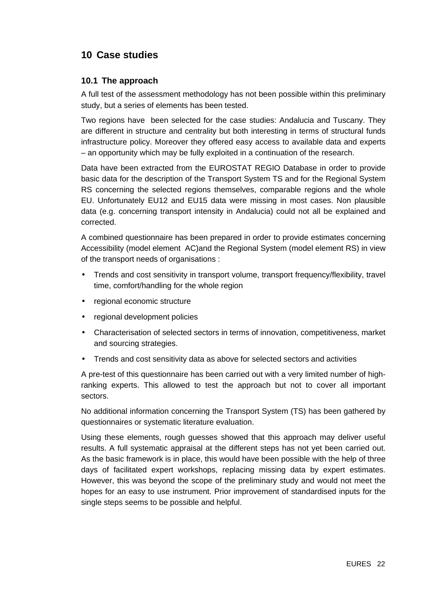# **10 Case studies**

## **10.1 The approach**

A full test of the assessment methodology has not been possible within this preliminary study, but a series of elements has been tested.

Two regions have been selected for the case studies: Andalucia and Tuscany. They are different in structure and centrality but both interesting in terms of structural funds infrastructure policy. Moreover they offered easy access to available data and experts – an opportunity which may be fully exploited in a continuation of the research.

Data have been extracted from the EUROSTAT REGIO Database in order to provide basic data for the description of the Transport System TS and for the Regional System RS concerning the selected regions themselves, comparable regions and the whole EU. Unfortunately EU12 and EU15 data were missing in most cases. Non plausible data (e.g. concerning transport intensity in Andalucia) could not all be explained and corrected.

A combined questionnaire has been prepared in order to provide estimates concerning Accessibility (model element AC)and the Regional System (model element RS) in view of the transport needs of organisations :

- Trends and cost sensitivity in transport volume, transport frequency/flexibility, travel time, comfort/handling for the whole region
- regional economic structure
- regional development policies
- Characterisation of selected sectors in terms of innovation, competitiveness, market and sourcing strategies.
- Trends and cost sensitivity data as above for selected sectors and activities

A pre-test of this questionnaire has been carried out with a very limited number of highranking experts. This allowed to test the approach but not to cover all important sectors.

No additional information concerning the Transport System (TS) has been gathered by questionnaires or systematic literature evaluation.

Using these elements, rough guesses showed that this approach may deliver useful results. A full systematic appraisal at the different steps has not yet been carried out. As the basic framework is in place, this would have been possible with the help of three days of facilitated expert workshops, replacing missing data by expert estimates. However, this was beyond the scope of the preliminary study and would not meet the hopes for an easy to use instrument. Prior improvement of standardised inputs for the single steps seems to be possible and helpful.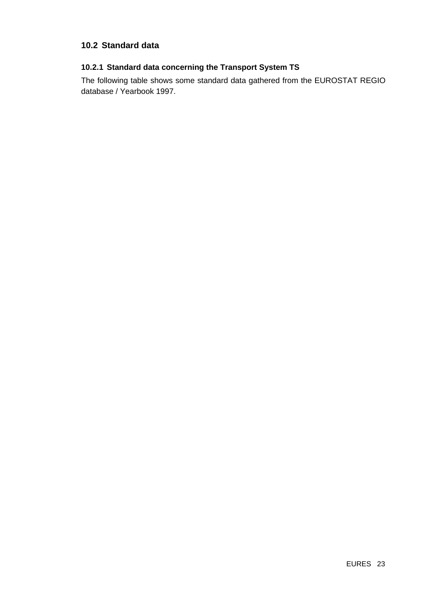## **10.2 Standard data**

## **10.2.1 Standard data concerning the Transport System TS**

The following table shows some standard data gathered from the EUROSTAT REGIO database / Yearbook 1997.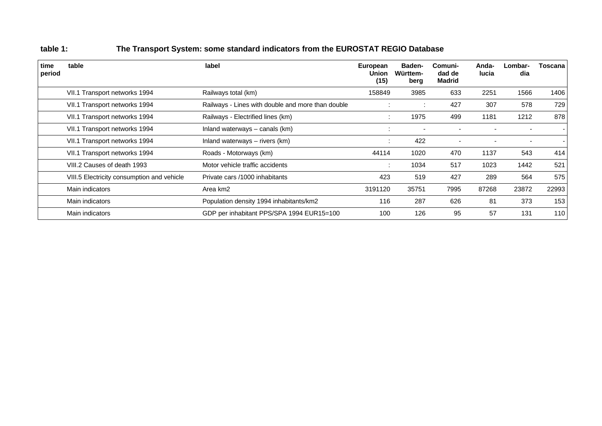| time<br>period | table                                      | label                                             | European<br>Union<br>(15) | <b>Baden-</b><br>Württem-<br>berg | Comuni-<br>dad de<br><b>Madrid</b> | Anda-<br>lucia | Lombar-<br>dia | Toscana |
|----------------|--------------------------------------------|---------------------------------------------------|---------------------------|-----------------------------------|------------------------------------|----------------|----------------|---------|
|                | VII.1 Transport networks 1994              | Railways total (km)                               | 158849                    | 3985                              | 633                                | 2251           | 1566           | 1406    |
|                | VII.1 Transport networks 1994              | Railways - Lines with double and more than double | $\cdot$                   | ÷                                 | 427                                | 307            | 578            | 729     |
|                | VII.1 Transport networks 1994              | Railways - Electrified lines (km)                 | $\bullet$                 | 1975                              | 499                                | 1181           | 1212           | 878     |
|                | VII.1 Transport networks 1994              | Inland waterways - canals (km)                    | $\cdot$                   |                                   |                                    |                |                |         |
|                | VII.1 Transport networks 1994              | Inland waterways - rivers (km)                    | $\bullet$<br>$\cdot$      | 422                               | $\blacksquare$                     |                |                |         |
|                | VII.1 Transport networks 1994              | Roads - Motorways (km)                            | 44114                     | 1020                              | 470                                | 1137           | 543            | 414     |
|                | VIII.2 Causes of death 1993                | Motor vehicle traffic accidents                   | $\cdot$                   | 1034                              | 517                                | 1023           | 1442           | 521     |
|                | VIII.5 Electricity consumption and vehicle | Private cars /1000 inhabitants                    | 423                       | 519                               | 427                                | 289            | 564            | 575     |
|                | Main indicators                            | Area km2                                          | 3191120                   | 35751                             | 7995                               | 87268          | 23872          | 22993   |
|                | Main indicators                            | Population density 1994 inhabitants/km2           | 116                       | 287                               | 626                                | 81             | 373            | 153     |
|                | Main indicators                            | GDP per inhabitant PPS/SPA 1994 EUR15=100         | 100                       | 126                               | 95                                 | 57             | 131            | 110     |

## **table 1: The Transport System: some standard indicators from the EUROSTAT REGIO Database**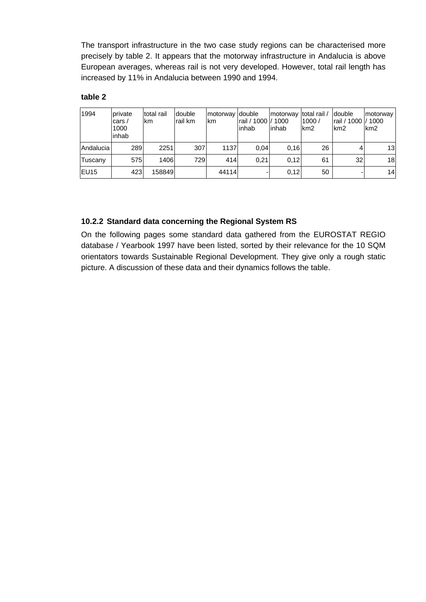The transport infrastructure in the two case study regions can be characterised more precisely by table 2. It appears that the motorway infrastructure in Andalucia is above European averages, whereas rail is not very developed. However, total rail length has increased by 11% in Andalucia between 1990 and 1994.

#### **table 2**

| 1994              | private<br>cars $/$<br>1000<br>inhab | total rail<br>lkm. | double<br>Irail km | motorway double<br>km | rail / 1000 l/ 1000<br>linhab | motorway<br>linhab | total rail /<br>1000/<br>km <sub>2</sub> | <b>double</b><br>rail / 1000 l/ 1000<br>km <sub>2</sub> | motorway<br>km <sub>2</sub> |
|-------------------|--------------------------------------|--------------------|--------------------|-----------------------|-------------------------------|--------------------|------------------------------------------|---------------------------------------------------------|-----------------------------|
| Andalucia         | 289                                  | 2251               | 307                | 1137                  | 0.04                          | 0.16               | 26                                       | 4                                                       | 13                          |
| Tuscany           | 575                                  | 1406               | 729                | 414                   | 0.21                          | 0.12               | 61                                       | 32                                                      | 18                          |
| IEU <sub>15</sub> | 423                                  | 158849             |                    | 44114                 |                               | 0,12               | 50                                       |                                                         | 14                          |

## **10.2.2 Standard data concerning the Regional System RS**

On the following pages some standard data gathered from the EUROSTAT REGIO database / Yearbook 1997 have been listed, sorted by their relevance for the 10 SQM orientators towards Sustainable Regional Development. They give only a rough static picture. A discussion of these data and their dynamics follows the table.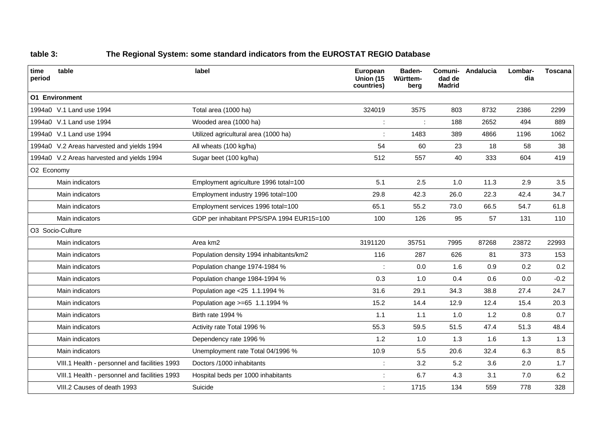## **table 3: The Regional System: some standard indicators from the EUROSTAT REGIO Database**

| time<br>period | table                                         | label                                     | European<br>Union (15<br>countries) | Baden-<br>Württem-<br>berg | Comuni-<br>dad de<br><b>Madrid</b> | Andalucia | Lombar-<br>dia | <b>Toscana</b> |
|----------------|-----------------------------------------------|-------------------------------------------|-------------------------------------|----------------------------|------------------------------------|-----------|----------------|----------------|
|                | <b>01 Environment</b>                         |                                           |                                     |                            |                                    |           |                |                |
|                | 1994a0 V.1 Land use 1994                      | Total area (1000 ha)                      | 324019                              | 3575                       | 803                                | 8732      | 2386           | 2299           |
|                | 1994a0 V.1 Land use 1994                      | Wooded area (1000 ha)                     |                                     |                            | 188                                | 2652      | 494            | 889            |
|                | 1994a0 V.1 Land use 1994                      | Utilized agricultural area (1000 ha)      |                                     | 1483                       | 389                                | 4866      | 1196           | 1062           |
|                | 1994a0 V.2 Areas harvested and yields 1994    | All wheats (100 kg/ha)                    | 54                                  | 60                         | 23                                 | 18        | 58             | 38             |
|                | 1994a0 V.2 Areas harvested and yields 1994    | Sugar beet (100 kg/ha)                    | 512                                 | 557                        | 40                                 | 333       | 604            | 419            |
| O2 Economy     |                                               |                                           |                                     |                            |                                    |           |                |                |
|                | Main indicators                               | Employment agriculture 1996 total=100     | 5.1                                 | 2.5                        | 1.0                                | 11.3      | 2.9            | 3.5            |
|                | Main indicators                               | Employment industry 1996 total=100        | 29.8                                | 42.3                       | 26.0                               | 22.3      | 42.4           | 34.7           |
|                | Main indicators                               | Employment services 1996 total=100        | 65.1                                | 55.2                       | 73.0                               | 66.5      | 54.7           | 61.8           |
|                | Main indicators                               | GDP per inhabitant PPS/SPA 1994 EUR15=100 | 100                                 | 126                        | 95                                 | 57        | 131            | 110            |
|                | O3 Socio-Culture                              |                                           |                                     |                            |                                    |           |                |                |
|                | Main indicators                               | Area km2                                  | 3191120                             | 35751                      | 7995                               | 87268     | 23872          | 22993          |
|                | Main indicators                               | Population density 1994 inhabitants/km2   | 116                                 | 287                        | 626                                | 81        | 373            | 153            |
|                | Main indicators                               | Population change 1974-1984 %             |                                     | 0.0                        | 1.6                                | 0.9       | 0.2            | 0.2            |
|                | Main indicators                               | Population change 1984-1994 %             | 0.3                                 | 1.0                        | 0.4                                | 0.6       | 0.0            | $-0.2$         |
|                | Main indicators                               | Population age <25 1.1.1994 %             | 31.6                                | 29.1                       | 34.3                               | 38.8      | 27.4           | 24.7           |
|                | Main indicators                               | Population age >=65 1.1.1994 %            | 15.2                                | 14.4                       | 12.9                               | 12.4      | 15.4           | 20.3           |
|                | Main indicators                               | Birth rate 1994 %                         | $1.1$                               | $1.1$                      | 1.0                                | 1.2       | 0.8            | 0.7            |
|                | Main indicators                               | Activity rate Total 1996 %                | 55.3                                | 59.5                       | 51.5                               | 47.4      | 51.3           | 48.4           |
|                | Main indicators                               | Dependency rate 1996 %                    | 1.2                                 | 1.0                        | 1.3                                | 1.6       | 1.3            | 1.3            |
|                | Main indicators                               | Unemployment rate Total 04/1996 %         | 10.9                                | 5.5                        | 20.6                               | 32.4      | 6.3            | 8.5            |
|                | VIII.1 Health - personnel and facilities 1993 | Doctors /1000 inhabitants                 |                                     | 3.2                        | 5.2                                | 3.6       | 2.0            | 1.7            |
|                | VIII.1 Health - personnel and facilities 1993 | Hospital beds per 1000 inhabitants        |                                     | 6.7                        | 4.3                                | 3.1       | 7.0            | 6.2            |
|                | VIII.2 Causes of death 1993<br>Suicide        |                                           |                                     | 1715                       | 134                                | 559       | 778            | 328            |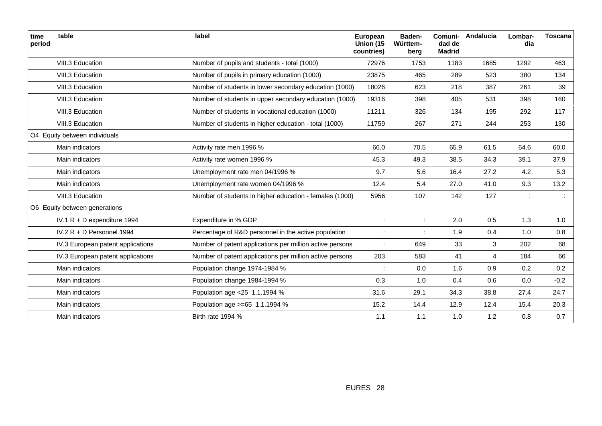| time<br>period | table                             | label                                                    | European<br>Union (15<br>countries) | Baden-<br>Württem-<br>berg | Comuni-<br>dad de<br><b>Madrid</b> | Andalucia      | Lombar-<br>dia | <b>Toscana</b> |
|----------------|-----------------------------------|----------------------------------------------------------|-------------------------------------|----------------------------|------------------------------------|----------------|----------------|----------------|
|                | VIII.3 Education                  | Number of pupils and students - total (1000)             | 72976                               | 1753                       | 1183                               | 1685           | 1292           | 463            |
|                | VIII.3 Education                  | Number of pupils in primary education (1000)             | 23875                               | 465                        | 289                                | 523            | 380            | 134            |
|                | VIII.3 Education                  | Number of students in lower secondary education (1000)   | 18026                               | 623                        | 218                                | 387            | 261            | 39             |
|                | VIII.3 Education                  | Number of students in upper secondary education (1000)   | 19316                               | 398                        | 405                                | 531            | 398            | 160            |
|                | VIII.3 Education                  | Number of students in vocational education (1000)        | 11211                               | 326                        | 134                                | 195            | 292            | 117            |
|                | VIII.3 Education                  | Number of students in higher education - total (1000)    | 11759                               | 267                        | 271                                | 244            | 253            | 130            |
|                | O4 Equity between individuals     |                                                          |                                     |                            |                                    |                |                |                |
|                | Main indicators                   | Activity rate men 1996 %                                 | 66.0                                | 70.5                       | 65.9                               | 61.5           | 64.6           | 60.0           |
|                | Main indicators                   | Activity rate women 1996 %                               | 45.3                                | 49.3                       | 38.5                               | 34.3           | 39.1           | 37.9           |
|                | Main indicators                   | Unemployment rate men 04/1996 %                          | 9.7                                 | 5.6                        | 16.4                               | 27.2           | 4.2            | 5.3            |
|                | Main indicators                   | Unemployment rate women 04/1996 %                        | 12.4                                | 5.4                        | 27.0                               | 41.0           | 9.3            | 13.2           |
|                | VIII.3 Education                  | Number of students in higher education - females (1000)  | 5956                                | 107                        | 142                                | 127            | ÷              |                |
|                | O6 Equity between generations     |                                                          |                                     |                            |                                    |                |                |                |
|                | IV.1 R + D expenditure 1994       | Expenditure in % GDP                                     |                                     | ÷                          | 2.0                                | 0.5            | 1.3            | 1.0            |
|                | IV.2 R + D Personnel 1994         | Percentage of R&D personnel in the active population     |                                     |                            | 1.9                                | 0.4            | 1.0            | 0.8            |
|                | IV.3 European patent applications | Number of patent applications per million active persons |                                     | 649                        | 33                                 | 3              | 202            | 68             |
|                | IV.3 European patent applications | Number of patent applications per million active persons | 203                                 | 583                        | 41                                 | $\overline{4}$ | 184            | 66             |
|                | Main indicators                   | Population change 1974-1984 %                            |                                     | 0.0                        | 1.6                                | 0.9            | 0.2            | 0.2            |
|                | Main indicators                   | Population change 1984-1994 %                            | 0.3                                 | 1.0                        | 0.4                                | 0.6            | 0.0            | $-0.2$         |
|                | Main indicators                   | Population age <25 1.1.1994 %                            | 31.6                                | 29.1                       | 34.3                               | 38.8           | 27.4           | 24.7           |
|                | Main indicators                   | Population age >=65 1.1.1994 %                           | 15.2                                | 14.4                       | 12.9                               | 12.4           | 15.4           | 20.3           |
|                | Main indicators                   | Birth rate 1994 %                                        | 1.1                                 | $1.1$                      | 1.0                                | 1.2            | 0.8            | 0.7            |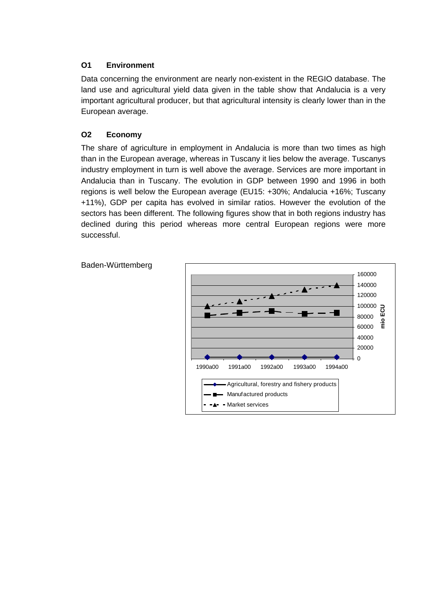## **O1 Environment**

Data concerning the environment are nearly non-existent in the REGIO database. The land use and agricultural yield data given in the table show that Andalucia is a very important agricultural producer, but that agricultural intensity is clearly lower than in the European average.

## **O2 Economy**

The share of agriculture in employment in Andalucia is more than two times as high than in the European average, whereas in Tuscany it lies below the average. Tuscanys industry employment in turn is well above the average. Services are more important in Andalucia than in Tuscany. The evolution in GDP between 1990 and 1996 in both regions is well below the European average (EU15: +30%; Andalucia +16%; Tuscany +11%), GDP per capita has evolved in similar ratios. However the evolution of the sectors has been different. The following figures show that in both regions industry has declined during this period whereas more central European regions were more successful.



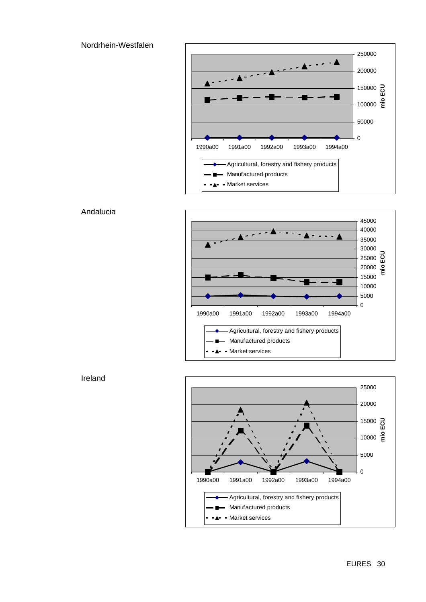Nordrhein-Westfalen









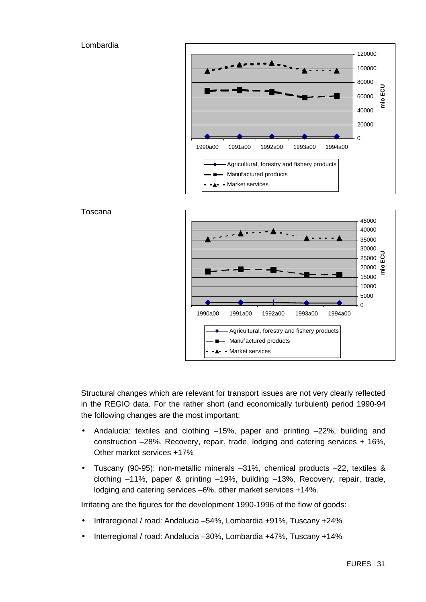#### Lombardia







Structural changes which are relevant for transport issues are not very clearly reflected in the REGIO data. For the rather short (and economically turbulent) period 1990-94 the following changes are the most important:

- Andalucia: textiles and clothing –15%, paper and printing –22%, building and construction –28%, Recovery, repair, trade, lodging and catering services + 16%, Other market services +17%
- Tuscany (90-95): non-metallic minerals –31%, chemical products –22, textiles & clothing –11%, paper & printing –19%, building –13%, Recovery, repair, trade, lodging and catering services –6%, other market services +14%.

Irritating are the figures for the development 1990-1996 of the flow of goods:

- Intraregional / road: Andalucia –54%, Lombardia +91%, Tuscany +24%
- Interregional / road: Andalucia –30%, Lombardia +47%, Tuscany +14%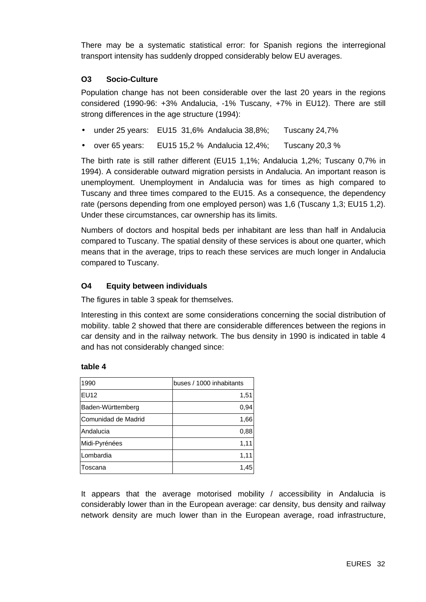There may be a systematic statistical error: for Spanish regions the interregional transport intensity has suddenly dropped considerably below EU averages.

### **O3 Socio-Culture**

Population change has not been considerable over the last 20 years in the regions considered (1990-96: +3% Andalucia, -1% Tuscany, +7% in EU12). There are still strong differences in the age structure (1994):

- under 25 years: EU15 31,6% Andalucia 38,8%; Tuscany 24,7%
- over 65 years: EU15 15.2 % Andalucia 12.4%; Tuscany 20.3 %

The birth rate is still rather different (EU15 1,1%; Andalucia 1,2%; Tuscany 0,7% in 1994). A considerable outward migration persists in Andalucia. An important reason is unemployment. Unemployment in Andalucia was for times as high compared to Tuscany and three times compared to the EU15. As a consequence, the dependency rate (persons depending from one employed person) was 1,6 (Tuscany 1,3; EU15 1,2). Under these circumstances, car ownership has its limits.

Numbers of doctors and hospital beds per inhabitant are less than half in Andalucia compared to Tuscany. The spatial density of these services is about one quarter, which means that in the average, trips to reach these services are much longer in Andalucia compared to Tuscany.

#### **O4 Equity between individuals**

The figures in table 3 speak for themselves.

Interesting in this context are some considerations concerning the social distribution of mobility. table 2 showed that there are considerable differences between the regions in car density and in the railway network. The bus density in 1990 is indicated in table 4 and has not considerably changed since:

#### **table 4**

| 1990                | buses / 1000 inhabitants |
|---------------------|--------------------------|
| <b>EU12</b>         | 1,51                     |
| Baden-Württemberg   | 0,94                     |
| Comunidad de Madrid | 1,66                     |
| Andalucia           | 0,88                     |
| Midi-Pyrénées       | 1,11                     |
| Lombardia           | 1,11                     |
| Toscana             | 1.45                     |

It appears that the average motorised mobility / accessibility in Andalucia is considerably lower than in the European average: car density, bus density and railway network density are much lower than in the European average, road infrastructure,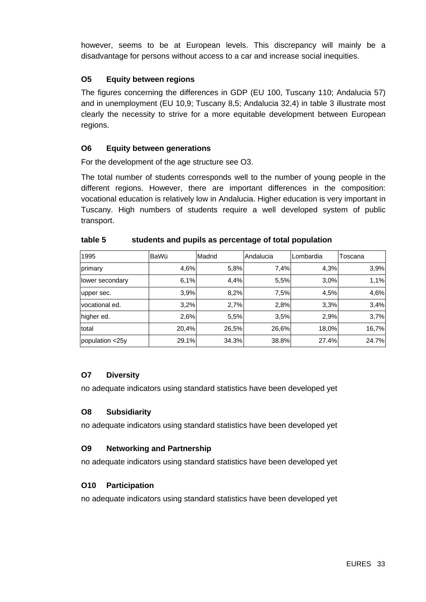however, seems to be at European levels. This discrepancy will mainly be a disadvantage for persons without access to a car and increase social inequities.

## **O5 Equity between regions**

The figures concerning the differences in GDP (EU 100, Tuscany 110; Andalucia 57) and in unemployment (EU 10,9; Tuscany 8,5; Andalucia 32,4) in table 3 illustrate most clearly the necessity to strive for a more equitable development between European regions.

#### **O6 Equity between generations**

For the development of the age structure see O3.

The total number of students corresponds well to the number of young people in the different regions. However, there are important differences in the composition: vocational education is relatively low in Andalucia. Higher education is very important in Tuscany. High numbers of students require a well developed system of public transport.

| 1995            | BaWü  | Madrid | Andalucia | Lombardia | Toscana |
|-----------------|-------|--------|-----------|-----------|---------|
| primary         | 4,6%  | 5,8%   | 7,4%      | 4,3%      | 3,9%    |
| lower secondary | 6,1%  | 4,4%   | 5,5%      | 3.0%      | 1,1%    |
| upper sec.      | 3,9%  | 8,2%   | 7,5%      | 4,5%      | 4,6%    |
| vocational ed.  | 3,2%  | 2,7%   | 2,8%      | 3.3%      | 3,4%    |
| higher ed.      | 2,6%  | 5,5%   | 3.5%      | 2,9%      | 3,7%    |
| total           | 20,4% | 26,5%  | 26,6%     | 18,0%     | 16,7%   |
| population <25y | 29.1% | 34.3%  | 38.8%     | 27.4%     | 24.7%   |

#### **table 5 students and pupils as percentage of total population**

## **O7 Diversity**

no adequate indicators using standard statistics have been developed yet

#### **O8 Subsidiarity**

no adequate indicators using standard statistics have been developed yet

## **O9 Networking and Partnership**

no adequate indicators using standard statistics have been developed yet

## **O10 Participation**

no adequate indicators using standard statistics have been developed yet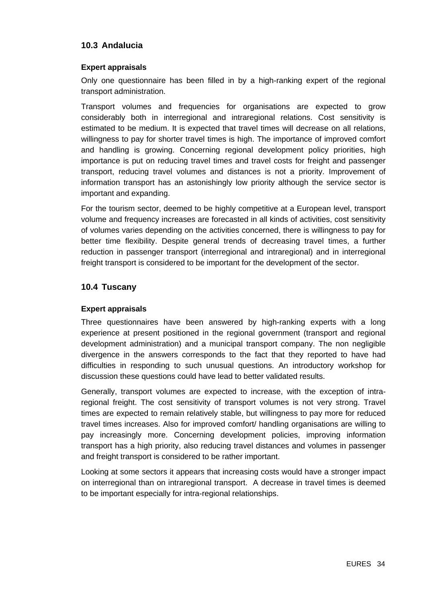## **10.3 Andalucia**

#### **Expert appraisals**

Only one questionnaire has been filled in by a high-ranking expert of the regional transport administration.

Transport volumes and frequencies for organisations are expected to grow considerably both in interregional and intraregional relations. Cost sensitivity is estimated to be medium. It is expected that travel times will decrease on all relations, willingness to pay for shorter travel times is high. The importance of improved comfort and handling is growing. Concerning regional development policy priorities, high importance is put on reducing travel times and travel costs for freight and passenger transport, reducing travel volumes and distances is not a priority. Improvement of information transport has an astonishingly low priority although the service sector is important and expanding.

For the tourism sector, deemed to be highly competitive at a European level, transport volume and frequency increases are forecasted in all kinds of activities, cost sensitivity of volumes varies depending on the activities concerned, there is willingness to pay for better time flexibility. Despite general trends of decreasing travel times, a further reduction in passenger transport (interregional and intraregional) and in interregional freight transport is considered to be important for the development of the sector.

## **10.4 Tuscany**

## **Expert appraisals**

Three questionnaires have been answered by high-ranking experts with a long experience at present positioned in the regional government (transport and regional development administration) and a municipal transport company. The non negligible divergence in the answers corresponds to the fact that they reported to have had difficulties in responding to such unusual questions. An introductory workshop for discussion these questions could have lead to better validated results.

Generally, transport volumes are expected to increase, with the exception of intraregional freight. The cost sensitivity of transport volumes is not very strong. Travel times are expected to remain relatively stable, but willingness to pay more for reduced travel times increases. Also for improved comfort/ handling organisations are willing to pay increasingly more. Concerning development policies, improving information transport has a high priority, also reducing travel distances and volumes in passenger and freight transport is considered to be rather important.

Looking at some sectors it appears that increasing costs would have a stronger impact on interregional than on intraregional transport. A decrease in travel times is deemed to be important especially for intra-regional relationships.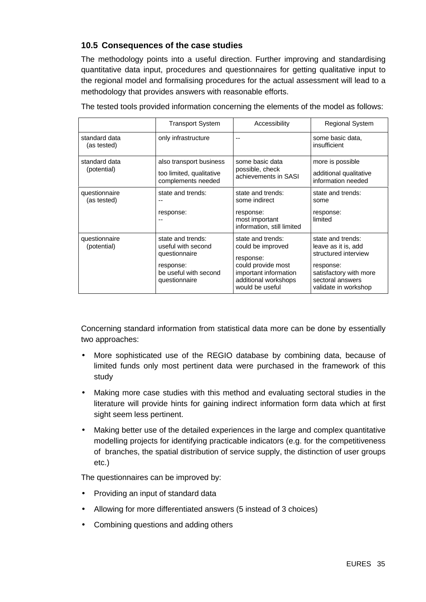## **10.5 Consequences of the case studies**

The methodology points into a useful direction. Further improving and standardising quantitative data input, procedures and questionnaires for getting qualitative input to the regional model and formalising procedures for the actual assessment will lead to a methodology that provides answers with reasonable efforts.

|                              | <b>Transport System</b>                                                                                                                 | Accessibility                                                                                                                                 | <b>Regional System</b>                                                                                                                              |
|------------------------------|-----------------------------------------------------------------------------------------------------------------------------------------|-----------------------------------------------------------------------------------------------------------------------------------------------|-----------------------------------------------------------------------------------------------------------------------------------------------------|
| standard data<br>(as tested) | only infrastructure                                                                                                                     | --                                                                                                                                            | some basic data,<br>insufficient                                                                                                                    |
| standard data<br>(potential) | also transport business<br>some basic data<br>possible, check<br>too limited, qualitative<br>achievements in SASI<br>complements needed |                                                                                                                                               | more is possible<br>additional qualitative<br>information needed                                                                                    |
| questionnaire<br>(as tested) | state and trends:<br>response:                                                                                                          | state and trends:<br>some indirect<br>response:<br>most important<br>information, still limited                                               | state and trends:<br>some<br>response:<br>limited                                                                                                   |
| questionnaire<br>(potential) | state and trends:<br>useful with second<br>questionnaire<br>response:<br>be useful with second<br>questionnaire                         | state and trends:<br>could be improved<br>response:<br>could provide most<br>important information<br>additional workshops<br>would be useful | state and trends:<br>leave as it is, add<br>structured interview<br>response:<br>satisfactory with more<br>sectoral answers<br>validate in workshop |

The tested tools provided information concerning the elements of the model as follows:

Concerning standard information from statistical data more can be done by essentially two approaches:

- More sophisticated use of the REGIO database by combining data, because of limited funds only most pertinent data were purchased in the framework of this study
- Making more case studies with this method and evaluating sectoral studies in the literature will provide hints for gaining indirect information form data which at first sight seem less pertinent.
- Making better use of the detailed experiences in the large and complex quantitative modelling projects for identifying practicable indicators (e.g. for the competitiveness of branches, the spatial distribution of service supply, the distinction of user groups etc.)

The questionnaires can be improved by:

- Providing an input of standard data
- Allowing for more differentiated answers (5 instead of 3 choices)
- Combining questions and adding others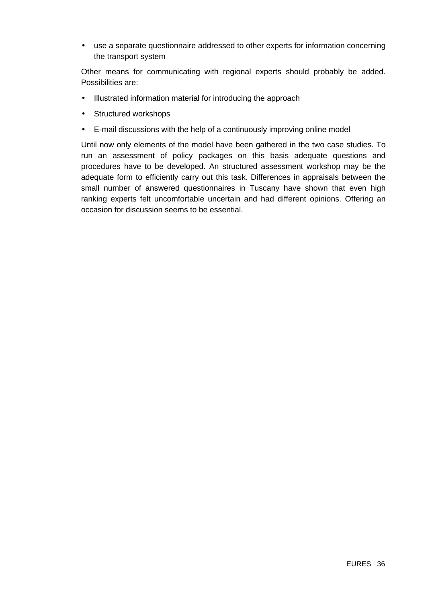• use a separate questionnaire addressed to other experts for information concerning the transport system

Other means for communicating with regional experts should probably be added. Possibilities are:

- Illustrated information material for introducing the approach
- Structured workshops
- E-mail discussions with the help of a continuously improving online model

Until now only elements of the model have been gathered in the two case studies. To run an assessment of policy packages on this basis adequate questions and procedures have to be developed. An structured assessment workshop may be the adequate form to efficiently carry out this task. Differences in appraisals between the small number of answered questionnaires in Tuscany have shown that even high ranking experts felt uncomfortable uncertain and had different opinions. Offering an occasion for discussion seems to be essential.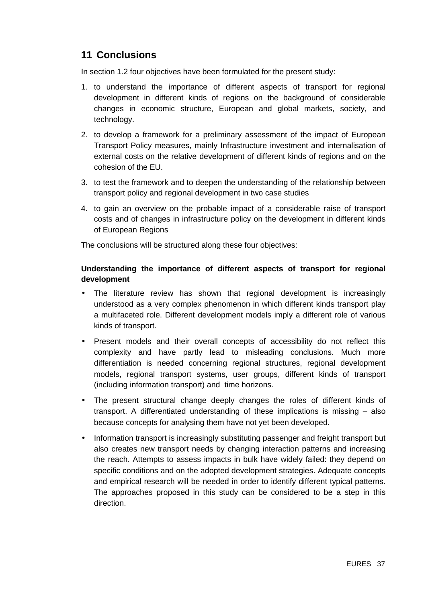## **11 Conclusions**

In section 1.2 four objectives have been formulated for the present study:

- 1. to understand the importance of different aspects of transport for regional development in different kinds of regions on the background of considerable changes in economic structure, European and global markets, society, and technology.
- 2. to develop a framework for a preliminary assessment of the impact of European Transport Policy measures, mainly Infrastructure investment and internalisation of external costs on the relative development of different kinds of regions and on the cohesion of the EU.
- 3. to test the framework and to deepen the understanding of the relationship between transport policy and regional development in two case studies
- 4. to gain an overview on the probable impact of a considerable raise of transport costs and of changes in infrastructure policy on the development in different kinds of European Regions

The conclusions will be structured along these four objectives:

## **Understanding the importance of different aspects of transport for regional development**

- The literature review has shown that regional development is increasingly understood as a very complex phenomenon in which different kinds transport play a multifaceted role. Different development models imply a different role of various kinds of transport.
- Present models and their overall concepts of accessibility do not reflect this complexity and have partly lead to misleading conclusions. Much more differentiation is needed concerning regional structures, regional development models, regional transport systems, user groups, different kinds of transport (including information transport) and time horizons.
- The present structural change deeply changes the roles of different kinds of transport. A differentiated understanding of these implications is missing – also because concepts for analysing them have not yet been developed.
- Information transport is increasingly substituting passenger and freight transport but also creates new transport needs by changing interaction patterns and increasing the reach. Attempts to assess impacts in bulk have widely failed: they depend on specific conditions and on the adopted development strategies. Adequate concepts and empirical research will be needed in order to identify different typical patterns. The approaches proposed in this study can be considered to be a step in this direction.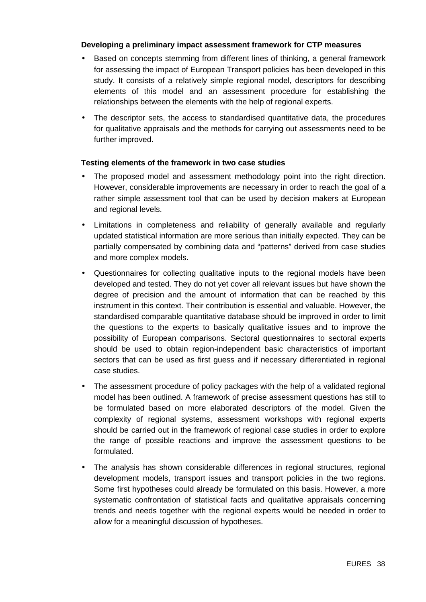#### **Developing a preliminary impact assessment framework for CTP measures**

- Based on concepts stemming from different lines of thinking, a general framework for assessing the impact of European Transport policies has been developed in this study. It consists of a relatively simple regional model, descriptors for describing elements of this model and an assessment procedure for establishing the relationships between the elements with the help of regional experts.
- The descriptor sets, the access to standardised quantitative data, the procedures for qualitative appraisals and the methods for carrying out assessments need to be further improved.

#### **Testing elements of the framework in two case studies**

- The proposed model and assessment methodology point into the right direction. However, considerable improvements are necessary in order to reach the goal of a rather simple assessment tool that can be used by decision makers at European and regional levels.
- Limitations in completeness and reliability of generally available and regularly updated statistical information are more serious than initially expected. They can be partially compensated by combining data and "patterns" derived from case studies and more complex models.
- Questionnaires for collecting qualitative inputs to the regional models have been developed and tested. They do not yet cover all relevant issues but have shown the degree of precision and the amount of information that can be reached by this instrument in this context. Their contribution is essential and valuable. However, the standardised comparable quantitative database should be improved in order to limit the questions to the experts to basically qualitative issues and to improve the possibility of European comparisons. Sectoral questionnaires to sectoral experts should be used to obtain region-independent basic characteristics of important sectors that can be used as first guess and if necessary differentiated in regional case studies.
- The assessment procedure of policy packages with the help of a validated regional model has been outlined. A framework of precise assessment questions has still to be formulated based on more elaborated descriptors of the model. Given the complexity of regional systems, assessment workshops with regional experts should be carried out in the framework of regional case studies in order to explore the range of possible reactions and improve the assessment questions to be formulated.
- The analysis has shown considerable differences in regional structures, regional development models, transport issues and transport policies in the two regions. Some first hypotheses could already be formulated on this basis. However, a more systematic confrontation of statistical facts and qualitative appraisals concerning trends and needs together with the regional experts would be needed in order to allow for a meaningful discussion of hypotheses.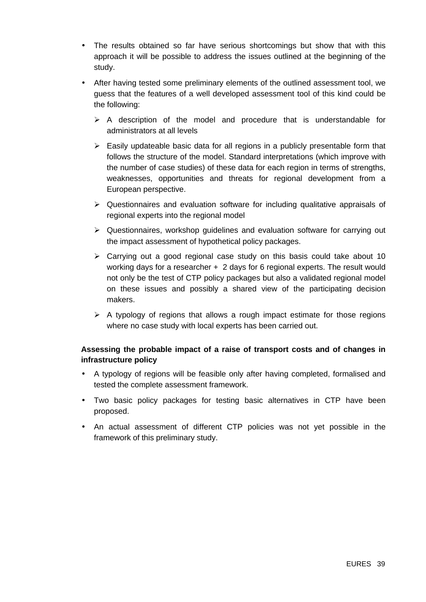- The results obtained so far have serious shortcomings but show that with this approach it will be possible to address the issues outlined at the beginning of the study.
- After having tested some preliminary elements of the outlined assessment tool, we guess that the features of a well developed assessment tool of this kind could be the following:
	- $\triangleright$  A description of the model and procedure that is understandable for administrators at all levels
	- $\triangleright$  Easily updateable basic data for all regions in a publicly presentable form that follows the structure of the model. Standard interpretations (which improve with the number of case studies) of these data for each region in terms of strengths, weaknesses, opportunities and threats for regional development from a European perspective.
	- $\triangleright$  Questionnaires and evaluation software for including qualitative appraisals of regional experts into the regional model
	- $\triangleright$  Questionnaires, workshop guidelines and evaluation software for carrying out the impact assessment of hypothetical policy packages.
	- $\geq$  Carrying out a good regional case study on this basis could take about 10 working days for a researcher + 2 days for 6 regional experts. The result would not only be the test of CTP policy packages but also a validated regional model on these issues and possibly a shared view of the participating decision makers.
	- $\triangleright$  A typology of regions that allows a rough impact estimate for those regions where no case study with local experts has been carried out.

## **Assessing the probable impact of a raise of transport costs and of changes in infrastructure policy**

- A typology of regions will be feasible only after having completed, formalised and tested the complete assessment framework.
- Two basic policy packages for testing basic alternatives in CTP have been proposed.
- An actual assessment of different CTP policies was not yet possible in the framework of this preliminary study.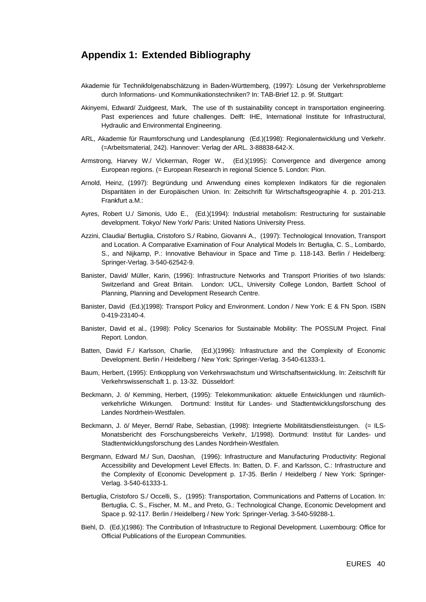## **Appendix 1: Extended Bibliography**

- Akademie für Technikfolgenabschätzung in Baden-Württemberg, (1997): Lösung der Verkehrsprobleme durch Informations- und Kommunikationstechniken? In: TAB-Brief 12. p. 9f. Stuttgart:
- Akinyemi, Edward/ Zuidgeest, Mark, The use of th sustainability concept in transportation engineering. Past experiences and future challenges. Delft: IHE, International Institute for Infrastructural, Hydraulic and Environmental Engineering.
- ARL, Akademie für Raumforschung und Landesplanung (Ed.)(1998): Regionalentwicklung und Verkehr. (=Arbeitsmaterial, 242). Hannover: Verlag der ARL. 3-88838-642-X.
- Armstrong, Harvey W./ Vickerman, Roger W., (Ed.)(1995): Convergence and divergence among European regions. (= European Research in regional Science 5. London: Pion.
- Arnold, Heinz, (1997): Begründung und Anwendung eines komplexen Indikators für die regionalen Disparitäten in der Europäischen Union. In: Zeitschrift für Wirtschaftsgeographie 4. p. 201-213. Frankfurt a.M.:
- Ayres, Robert U./ Simonis, Udo E., (Ed.)(1994): Industrial metabolism: Restructuring for sustainable development. Tokyo/ New York/ Paris: United Nations University Press.
- Azzini, Claudia/ Bertuglia, Cristoforo S./ Rabino, Giovanni A., (1997): Technological Innovation, Transport and Location. A Comparative Examination of Four Analytical Models In: Bertuglia, C. S., Lombardo, S., and Nijkamp, P.: Innovative Behaviour in Space and Time p. 118-143. Berlin / Heidelberg: Springer-Verlag. 3-540-62542-9.
- Banister, David/ Müller, Karin, (1996): Infrastructure Networks and Transport Priorities of two Islands: Switzerland and Great Britain. London: UCL, University College London, Bartlett School of Planning, Planning and Development Research Centre.
- Banister, David (Ed.)(1998): Transport Policy and Environment. London / New York: E & FN Spon. ISBN 0-419-23140-4.
- Banister, David et al., (1998): Policy Scenarios for Sustainable Mobility: The POSSUM Project. Final Report. London.
- Batten, David F./ Karlsson, Charlie, (Ed.)(1996): Infrastructure and the Complexity of Economic Development. Berlin / Heidelberg / New York: Springer-Verlag. 3-540-61333-1.
- Baum, Herbert, (1995): Entkopplung von Verkehrswachstum und Wirtschaftsentwicklung. In: Zeitschrift für Verkehrswissenschaft 1. p. 13-32. Düsseldorf:
- Beckmann, J. ö/ Kemming, Herbert, (1995): Telekommunikation: aktuelle Entwicklungen und räumlichverkehrliche Wirkungen. Dortmund: Institut für Landes- und Stadtentwicklungsforschung des Landes Nordrhein-Westfalen.
- Beckmann, J. ö/ Meyer, Bernd/ Rabe, Sebastian, (1998): Integrierte Mobilitätsdienstleistungen. (= ILS-Monatsbericht des Forschungsbereichs Verkehr, 1/1998). Dortmund: Institut für Landes- und Stadtentwicklungsforschung des Landes Nordrhein-Westfalen.
- Bergmann, Edward M./ Sun, Daoshan, (1996): Infrastructure and Manufacturing Productivity: Regional Accessibility and Development Level Effects. In: Batten, D. F. and Karlsson, C.: Infrastructure and the Complexity of Economic Development p. 17-35. Berlin / Heidelberg / New York: Springer-Verlag. 3-540-61333-1.
- Bertuglia, Cristoforo S./ Occelli, S., (1995): Transportation, Communications and Patterns of Location. In: Bertuglia, C. S., Fischer, M. M., and Preto, G.: Technological Change, Economic Development and Space p. 92-117. Berlin / Heidelberg / New York: Springer-Verlag. 3-540-59288-1.
- Biehl, D. (Ed.)(1986): The Contribution of Infrastructure to Regional Development. Luxembourg: Office for Official Publications of the European Communities.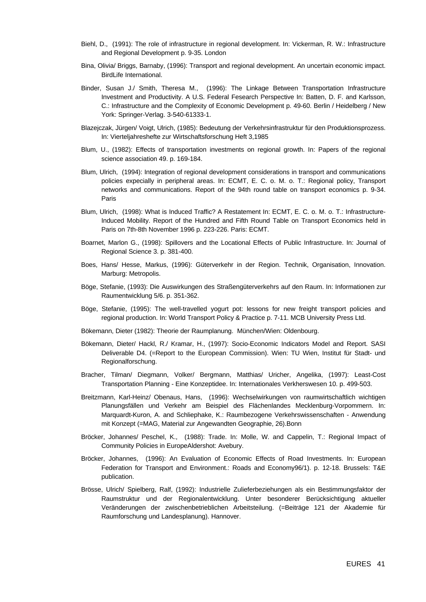- Biehl, D., (1991): The role of infrastructure in regional development. In: Vickerman, R. W.: Infrastructure and Regional Development p. 9-35. London
- Bina, Olivia/ Briggs, Barnaby, (1996): Transport and regional development. An uncertain economic impact. BirdLife International.
- Binder, Susan J./ Smith, Theresa M., (1996): The Linkage Between Transportation Infrastructure Investment and Productivity. A U.S. Federal Fesearch Perspective In: Batten, D. F. and Karlsson, C.: Infrastructure and the Complexity of Economic Development p. 49-60. Berlin / Heidelberg / New York: Springer-Verlag. 3-540-61333-1.
- Blazejczak, Jürgen/ Voigt, Ulrich, (1985): Bedeutung der Verkehrsinfrastruktur für den Produktionsprozess. In: Vierteljahreshefte zur Wirtschaftsforschung Heft 3,1985
- Blum, U., (1982): Effects of transportation investments on regional growth. In: Papers of the regional science association 49. p. 169-184.
- Blum, Ulrich, (1994): Integration of regional development considerations in transport and communications policies expecially in peripheral areas. In: ECMT, E. C. o. M. o. T.: Regional policy, Transport networks and communications. Report of the 94th round table on transport economics p. 9-34. Paris
- Blum, Ulrich, (1998): What is Induced Traffic? A Restatement In: ECMT, E. C. o. M. o. T.: Infrastructure-Induced Mobility. Report of the Hundred and Fifth Round Table on Transport Economics held in Paris on 7th-8th November 1996 p. 223-226. Paris: ECMT.
- Boarnet, Marlon G., (1998): Spillovers and the Locational Effects of Public Infrastructure. In: Journal of Regional Science 3. p. 381-400.
- Boes, Hans/ Hesse, Markus, (1996): Güterverkehr in der Region. Technik, Organisation, Innovation. Marburg: Metropolis.
- Böge, Stefanie, (1993): Die Auswirkungen des Straßengüterverkehrs auf den Raum. In: Informationen zur Raumentwicklung 5/6. p. 351-362.
- Böge, Stefanie, (1995): The well-travelled yogurt pot: lessons for new freight transport policies and regional production. In: World Transport Policy & Practice p. 7-11. MCB University Press Ltd.
- Bökemann, Dieter (1982): Theorie der Raumplanung. München/Wien: Oldenbourg.
- Bökemann, Dieter/ Hackl, R./ Kramar, H., (1997): Socio-Economic Indicators Model and Report. SASI Deliverable D4. (=Report to the European Commission). Wien: TU Wien, Institut für Stadt- und Regionalforschung.
- Bracher, Tilman/ Diegmann, Volker/ Bergmann, Matthias/ Uricher, Angelika, (1997): Least-Cost Transportation Planning - Eine Konzeptidee. In: Internationales Verkherswesen 10. p. 499-503.
- Breitzmann, Karl-Heinz/ Obenaus, Hans, (1996): Wechselwirkungen von raumwirtschaftlich wichtigen Planungsfällen und Verkehr am Beispiel des Flächenlandes Mecklenburg-Vorpommern. In: Marquardt-Kuron, A. and Schliephake, K.: Raumbezogene Verkehrswissenschaften - Anwendung mit Konzept (=MAG, Material zur Angewandten Geographie, 26).Bonn
- Bröcker, Johannes/ Peschel, K., (1988): Trade. In: Molle, W. and Cappelin, T.: Regional Impact of Community Policies in EuropeAldershot: Avebury.
- Bröcker, Johannes, (1996): An Evaluation of Economic Effects of Road Investments. In: European Federation for Transport and Environment.: Roads and Economy96/1). p. 12-18. Brussels: T&E publication.
- Brösse, Ulrich/ Spielberg, Ralf, (1992): Industrielle Zulieferbeziehungen als ein Bestimmungsfaktor der Raumstruktur und der Regionalentwicklung. Unter besonderer Berücksichtigung aktueller Veränderungen der zwischenbetrieblichen Arbeitsteilung. (=Beiträge 121 der Akademie für Raumforschung und Landesplanung). Hannover.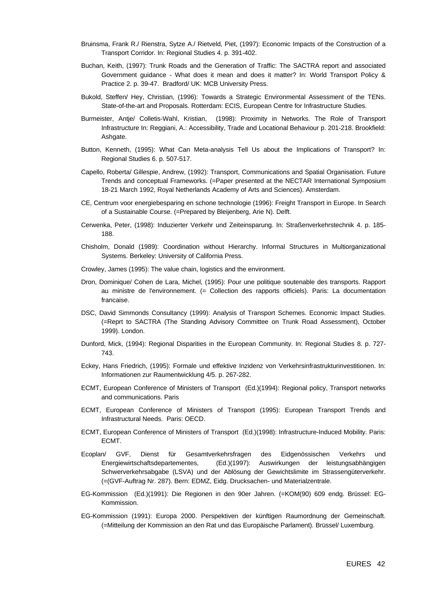- Bruinsma, Frank R./ Rienstra, Sytze A./ Rietveld, Piet, (1997): Economic Impacts of the Construction of a Transport Corridor. In: Regional Studies 4. p. 391-402.
- Buchan, Keith, (1997): Trunk Roads and the Generation of Traffic: The SACTRA report and associated Government guidance - What does it mean and does it matter? In: World Transport Policy & Practice 2. p. 39-47. Bradford/ UK: MCB University Press.
- Bukold, Steffen/ Hey, Christian, (1996): Towards a Strategic Environmental Assessment of the TENs. State-of-the-art and Proposals. Rotterdam: ECIS, European Centre for Infrastructure Studies.
- Burmeister, Antje/ Colletis-Wahl, Kristian, (1998): Proximity in Networks. The Role of Transport Infrastructure In: Reggiani, A.: Accessibility, Trade and Locational Behaviour p. 201-218. Brookfield: Ashgate.
- Button, Kenneth, (1995): What Can Meta-analysis Tell Us about the Implications of Transport? In: Regional Studies 6. p. 507-517.
- Capello, Roberta/ Gillespie, Andrew, (1992): Transport, Communications and Spatial Organisation. Future Trends and conceptual Frameworks. (=Paper presented at the NECTAR International Symposium 18-21 March 1992, Royal Netherlands Academy of Arts and Sciences). Amsterdam.
- CE, Centrum voor energiebesparing en schone technologie (1996): Freight Transport in Europe. In Search of a Sustainable Course. (=Prepared by Bleijenberg, Arie N). Delft.
- Cerwenka, Peter, (1998): Induzierter Verkehr und Zeiteinsparung. In: Straßenverkehrstechnik 4. p. 185- 188.
- Chisholm, Donald (1989): Coordination without Hierarchy. Informal Structures in Multiorganizational Systems. Berkeley: University of California Press.
- Crowley, James (1995): The value chain, logistics and the environment.
- Dron, Dominique/ Cohen de Lara, Michel, (1995): Pour une politique soutenable des transports. Rapport au ministre de l'environnement. (= Collection des rapports officiels). Paris: La documentation francaise.
- DSC, David Simmonds Consultancy (1999): Analysis of Transport Schemes. Economic Impact Studies. (=Reprt to SACTRA (The Standing Advisory Committee on Trunk Road Assessment), October 1999). London.
- Dunford, Mick, (1994): Regional Disparities in the European Community. In: Regional Studies 8. p. 727- 743.
- Eckey, Hans Friedrich, (1995): Formale und effektive Inzidenz von Verkehrsinfrastrukturinvestitionen. In: Informationen zur Raumentwicklung 4/5. p. 267-282.
- ECMT, European Conference of Ministers of Transport (Ed.)(1994): Regional policy, Transport networks and communications. Paris
- ECMT, European Conference of Ministers of Transport (1995): European Transport Trends and Infrastructural Needs. Paris: OECD.
- ECMT, European Conference of Ministers of Transport (Ed.)(1998): Infrastructure-Induced Mobility. Paris: ECMT.
- Ecoplan/ GVF, Dienst für Gesamtverkehrsfragen des Eidgenössischen Verkehrs und Energiewirtschaftsdepartementes, (Ed.)(1997): Auswirkungen der leistungsabhängigen Schwerverkehrsabgabe (LSVA) und der Ablösung der Gewichtslimite im Strassengüterverkehr. (=(GVF-Auftrag Nr. 287). Bern: EDMZ, Eidg. Drucksachen- und Materialzentrale.
- EG-Kommission (Ed.)(1991): Die Regionen in den 90er Jahren. (=KOM(90) 609 endg. Brüssel: EG-Kommission.
- EG-Kommission (1991): Europa 2000. Perspektiven der künftigen Raumordnung der Gemeinschaft. (=Mitteilung der Kommission an den Rat und das Europäische Parlament). Brüssel/ Luxemburg.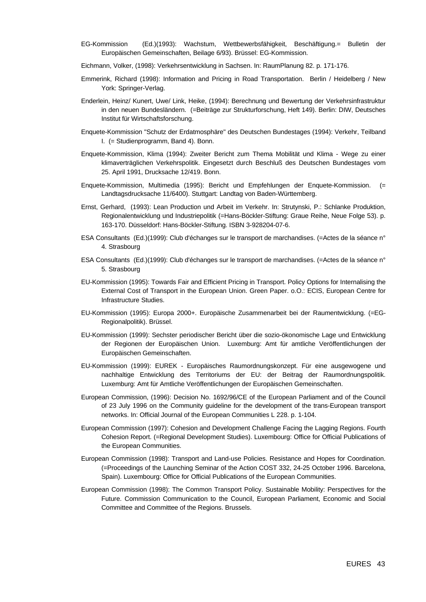- EG-Kommission (Ed.)(1993): Wachstum, Wettbewerbsfähigkeit, Beschäftigung.= Bulletin der Europäischen Gemeinschaften, Beilage 6/93). Brüssel: EG-Kommission.
- Eichmann, Volker, (1998): Verkehrsentwicklung in Sachsen. In: RaumPlanung 82. p. 171-176.
- Emmerink, Richard (1998): Information and Pricing in Road Transportation. Berlin / Heidelberg / New York: Springer-Verlag.
- Enderlein, Heinz/ Kunert, Uwe/ Link, Heike, (1994): Berechnung und Bewertung der Verkehrsinfrastruktur in den neuen Bundesländern. (=Beiträge zur Strukturforschung, Heft 149). Berlin: DIW, Deutsches Institut für Wirtschaftsforschung.
- Enquete-Kommission "Schutz der Erdatmosphäre" des Deutschen Bundestages (1994): Verkehr, Teilband I. (= Studienprogramm, Band 4). Bonn.
- Enquete-Kommission, Klima (1994): Zweiter Bericht zum Thema Mobilität und Klima Wege zu einer klimaverträglichen Verkehrspolitik. Eingesetzt durch Beschluß des Deutschen Bundestages vom 25. April 1991, Drucksache 12/419. Bonn.
- Enquete-Kommission, Multimedia (1995): Bericht und Empfehlungen der Enquete-Kommission. (= Landtagsdrucksache 11/6400). Stuttgart: Landtag von Baden-Württemberg.
- Ernst, Gerhard, (1993): Lean Production und Arbeit im Verkehr. In: Strutynski, P.: Schlanke Produktion, Regionalentwicklung und Industriepolitik (=Hans-Böckler-Stiftung: Graue Reihe, Neue Folge 53). p. 163-170. Düsseldorf: Hans-Böckler-Stiftung. ISBN 3-928204-07-6.
- ESA Consultants (Ed.)(1999): Club d'échanges sur le transport de marchandises. (=Actes de la séance n° 4. Strasbourg
- ESA Consultants (Ed.)(1999): Club d'échanges sur le transport de marchandises. (=Actes de la séance n° 5. Strasbourg
- EU-Kommission (1995): Towards Fair and Efficient Pricing in Transport. Policy Options for Internalising the External Cost of Transport in the European Union. Green Paper. o.O.: ECIS, European Centre for Infrastructure Studies.
- EU-Kommission (1995): Europa 2000+. Europäische Zusammenarbeit bei der Raumentwicklung. (=EG-Regionalpolitik). Brüssel.
- EU-Kommission (1999): Sechster periodischer Bericht über die sozio-ökonomische Lage und Entwicklung der Regionen der Europäischen Union. Luxemburg: Amt für amtliche Veröffentlichungen der Europäischen Gemeinschaften.
- EU-Kommission (1999): EUREK Europäisches Raumordnungskonzept. Für eine ausgewogene und nachhaltige Entwicklung des Territoriums der EU: der Beitrag der Raumordnungspolitik. Luxemburg: Amt für Amtliche Veröffentlichungen der Europäischen Gemeinschaften.
- European Commission, (1996): Decision No. 1692/96/CE of the European Parliament and of the Council of 23 July 1996 on the Community guideline for the development of the trans-European transport networks. In: Official Journal of the European Communities L 228. p. 1-104.
- European Commission (1997): Cohesion and Development Challenge Facing the Lagging Regions. Fourth Cohesion Report. (=Regional Development Studies). Luxembourg: Office for Official Publications of the European Communities.
- European Commission (1998): Transport and Land-use Policies. Resistance and Hopes for Coordination. (=Proceedings of the Launching Seminar of the Action COST 332, 24-25 October 1996. Barcelona, Spain). Luxembourg: Office for Official Publications of the European Communities.
- European Commission (1998): The Common Transport Policy. Sustainable Mobility: Perspectives for the Future. Commission Communication to the Council, European Parliament, Economic and Social Committee and Committee of the Regions. Brussels.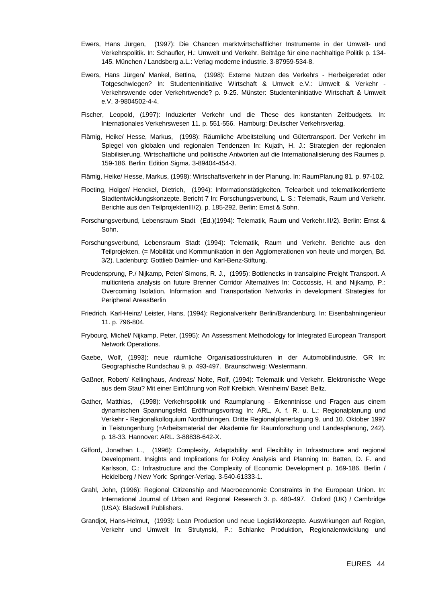- Ewers, Hans Jürgen, (1997): Die Chancen marktwirtschaftlicher Instrumente in der Umwelt- und Verkehrspolitik. In: Schaufler, H.: Umwelt und Verkehr. Beiträge für eine nachhaltige Politik p. 134- 145. München / Landsberg a.L.: Verlag moderne industrie. 3-87959-534-8.
- Ewers, Hans Jürgen/ Mankel, Bettina, (1998): Externe Nutzen des Verkehrs Herbeigeredet oder Totgeschwiegen? In: Studenteninitiative Wirtschaft & Umwelt e.V.: Umwelt & Verkehr - Verkehrswende oder Verkehrtwende? p. 9-25. Münster: Studenteninitiative Wirtschaft & Umwelt e.V. 3-9804502-4-4.
- Fischer, Leopold, (1997): Induzierter Verkehr und die These des konstanten Zeitbudgets. In: Internationales Verkehrswesen 11. p. 551-556. Hamburg: Deutscher Verkehrsverlag.
- Flämig, Heike/ Hesse, Markus, (1998): Räumliche Arbeitsteilung und Gütertransport. Der Verkehr im Spiegel von globalen und regionalen Tendenzen In: Kujath, H. J.: Strategien der regionalen Stabilisierung. Wirtschaftliche und politische Antworten auf die Internationalisierung des Raumes p. 159-186. Berlin: Edition Sigma. 3-89404-454-3.
- Flämig, Heike/ Hesse, Markus, (1998): Wirtschaftsverkehr in der Planung. In: RaumPlanung 81. p. 97-102.
- Floeting, Holger/ Henckel, Dietrich, (1994): Informationstätigkeiten, Telearbeit und telematikorientierte Stadtentwicklungskonzepte. Bericht 7 In: Forschungsverbund, L. S.: Telematik, Raum und Verkehr. Berichte aus den TeilprojektenIII/2). p. 185-292. Berlin: Ernst & Sohn.
- Forschungsverbund, Lebensraum Stadt (Ed.)(1994): Telematik, Raum und Verkehr.III/2). Berlin: Ernst & Sohn.
- Forschungsverbund, Lebensraum Stadt (1994): Telematik, Raum und Verkehr. Berichte aus den Teilprojekten. (= Mobilität und Kommunikation in den Agglomerationen von heute und morgen, Bd. 3/2). Ladenburg: Gottlieb Daimler- und Karl-Benz-Stiftung.
- Freudensprung, P./ Nijkamp, Peter/ Simons, R. J., (1995): Bottlenecks in transalpine Freight Transport. A multicriteria analysis on future Brenner Corridor Alternatives In: Coccossis, H. and Nijkamp, P.: Overcoming Isolation. Information and Transportation Networks in development Strategies for Peripheral AreasBerlin
- Friedrich, Karl-Heinz/ Leister, Hans, (1994): Regionalverkehr Berlin/Brandenburg. In: Eisenbahningenieur 11. p. 796-804.
- Frybourg, Michel/ Nijkamp, Peter, (1995): An Assessment Methodology for Integrated European Transport Network Operations.
- Gaebe, Wolf, (1993): neue räumliche Organisatiosstrukturen in der Automobilindustrie. GR In: Geographische Rundschau 9. p. 493-497. Braunschweig: Westermann.
- Gaßner, Robert/ Kellinghaus, Andreas/ Nolte, Rolf, (1994): Telematik und Verkehr. Elektronische Wege aus dem Stau? Mit einer Einführung von Rolf Kreibich. Weinheim/ Basel: Beltz.
- Gather, Matthias, (1998): Verkehrspolitik und Raumplanung Erkenntnisse und Fragen aus einem dynamischen Spannungsfeld. Eröffnungsvortrag In: ARL, A. f. R. u. L.: Regionalplanung und Verkehr - Regionalkolloquium Nordthüringen. Dritte Regionalplanertagung 9. und 10. Oktober 1997 in Teistungenburg (=Arbeitsmaterial der Akademie für Raumforschung und Landesplanung, 242). p. 18-33. Hannover: ARL. 3-88838-642-X.
- Gifford, Jonathan L., (1996): Complexity, Adaptability and Flexibility in Infrastructure and regional Development. Insights and Implications for Policy Analysis and Planning In: Batten, D. F. and Karlsson, C.: Infrastructure and the Complexity of Economic Development p. 169-186. Berlin / Heidelberg / New York: Springer-Verlag. 3-540-61333-1.
- Grahl, John, (1996): Regional Citizenship and Macroeconomic Constraints in the European Union. In: International Journal of Urban and Regional Research 3. p. 480-497. Oxford (UK) / Cambridge (USA): Blackwell Publishers.
- Grandjot, Hans-Helmut, (1993): Lean Production und neue Logistikkonzepte. Auswirkungen auf Region, Verkehr und Umwelt In: Strutynski, P.: Schlanke Produktion, Regionalentwicklung und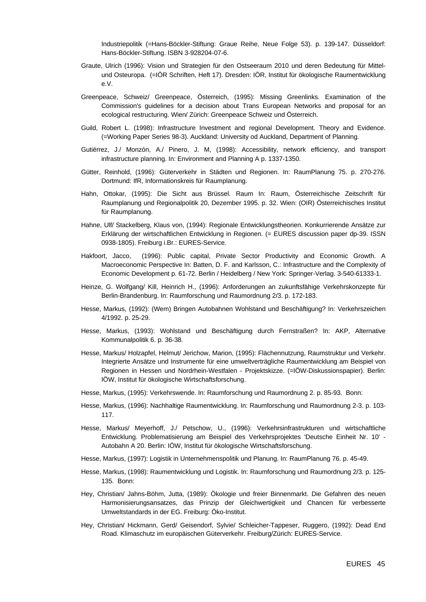Industriepolitik (=Hans-Böckler-Stiftung: Graue Reihe, Neue Folge 53). p. 139-147. Düsseldorf: Hans-Böckler-Stiftung. ISBN 3-928204-07-6.

- Graute, Ulrich (1996): Vision und Strategien für den Ostseeraum 2010 und deren Bedeutung für Mittelund Osteuropa. (=IÖR Schriften, Heft 17). Dresden: IÖR, Institut für ökologische Raumentwicklung e.V.
- Greenpeace, Schweiz/ Greenpeace, Österreich, (1995): Missing Greenlinks. Examination of the Commission's guidelines for a decision about Trans European Networks and proposal for an ecological restructuring. Wien/ Zürich: Greenpeace Schweiz und Österreich.
- Guild, Robert L. (1998): Infrastructure Investment and regional Development. Theory and Evidence. (=Working Paper Series 98-3). Auckland: University od Auckland, Department of Planning.
- Gutiérrez, J./ Monzón, A./ Pinero, J. M, (1998): Accessibility, network efficiency, and transport infrastructure planning. In: Environment and Planning A p. 1337-1350.
- Gütter, Reinhold, (1996): Güterverkehr in Städten und Regionen. In: RaumPlanung 75. p. 270-276. Dortmund: IfR, Informationskreis für Raumplanung.
- Hahn, Ottokar, (1995): Die Sicht aus Brüssel. Raum In: Raum, Österreichische Zeitschrift für Raumplanung und Regionalpolitik 20, Dezember 1995. p. 32. Wien: (OIR) Österreichisches Institut für Raumplanung.
- Hahne, Ulf/ Stackelberg, Klaus von, (1994): Regionale Entwicklungstheorien. Konkurrierende Ansätze zur Erklärung der wirtschaftlichen Entwicklung in Regionen. (= EURES discussion paper dp-39. ISSN 0938-1805). Freiburg i.Br.: EURES-Service.
- Hakfoort, Jacco, (1996): Public capital, Private Sector Productivity and Economic Growth. A Macroeconomic Perspective In: Batten, D. F. and Karlsson, C.: Infrastructure and the Complexity of Economic Development p. 61-72. Berlin / Heidelberg / New York: Springer-Verlag. 3-540-61333-1.
- Heinze, G. Wolfgang/ Kill, Heinrich H., (1996): Anforderungen an zukunftsfähige Verkehrskonzepte für Berlin-Brandenburg. In: Raumforschung und Raumordnung 2/3. p. 172-183.
- Hesse, Markus, (1992): (Wem) Bringen Autobahnen Wohlstand und Beschäftigung? In: Verkehrszeichen 4/1992. p. 25-29.
- Hesse, Markus, (1993): Wohlstand und Beschäftigung durch Fernstraßen? In: AKP, Alternative Kommunalpolitik 6. p. 36-38.
- Hesse, Markus/ Holzapfel, Helmut/ Jerichow, Marion, (1995): Flächennutzung, Raumstruktur und Verkehr. Integrierte Ansätze und Instrumente für eine umweltverträgliche Raumentwicklung am Beispiel von Regionen in Hessen und Nordrhein-Westfalen - Projektskizze. (=IÖW-Diskussionspapier). Berlin: IÖW, Institut für ökologische Wirtschaftsforschung.
- Hesse, Markus, (1995): Verkehrswende. In: Raumforschung und Raumordnung 2. p. 85-93. Bonn:
- Hesse, Markus, (1996): Nachhaltige Raumentwicklung. In: Raumforschung und Raumordnung 2-3. p. 103- 117.
- Hesse, Markus/ Meyerhoff, J./ Petschow, U., (1996): Verkehrsinfrastrukturen und wirtschaftliche Entwicklung. Problematisierung am Beispiel des Verkehrsprojektes 'Deutsche Einheit Nr. 10' - Autobahn A 20. Berlin: IÖW, Institut für ökologische Wirtschaftsforschung.
- Hesse, Markus, (1997): Logistik in Unternehmenspolitik und Planung. In: RaumPlanung 76. p. 45-49.
- Hesse, Markus, (1998): Raumentwicklung und Logistik. In: Raumforschung und Raumordnung 2/3. p. 125- 135. Bonn:
- Hey, Christian/ Jahns-Böhm, Jutta, (1989): Ökologie und freier Binnenmarkt. Die Gefahren des neuen Harmonisierungsansatzes, das Prinzip der Gleichwertigkeit und Chancen für verbesserte Umweltstandards in der EG. Freiburg: Öko-Institut.
- Hey, Christian/ Hickmann, Gerd/ Geisendorf, Sylvie/ Schleicher-Tappeser, Ruggero, (1992): Dead End Road. Klimaschutz im europäischen Güterverkehr. Freiburg/Zürich: EURES-Service.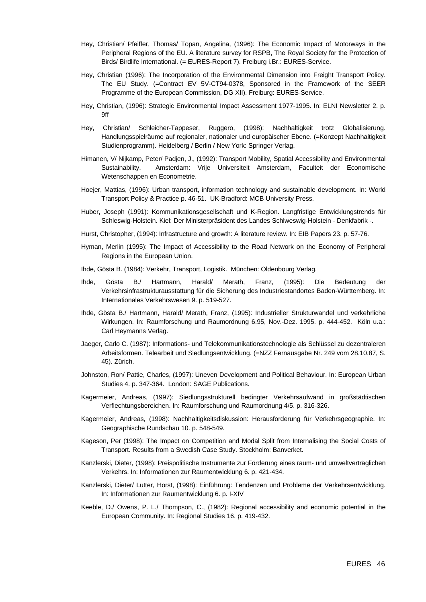- Hey, Christian/ Pfeiffer, Thomas/ Topan, Angelina, (1996): The Economic Impact of Motorways in the Peripheral Regions of the EU. A literature survey for RSPB, The Royal Society for the Protection of Birds/ Birdlife International. (= EURES-Report 7). Freiburg i.Br.: EURES-Service.
- Hey, Christian (1996): The Incorporation of the Environmental Dimension into Freight Transport Policy. The EU Study. (=Contract EV 5V-CT94-0378, Sponsored in the Framework of the SEER Programme of the European Commission, DG XII). Freiburg: EURES-Service.
- Hey, Christian, (1996): Strategic Environmental Impact Assessment 1977-1995. In: ELNI Newsletter 2. p. 9ff
- Hey, Christian/ Schleicher-Tappeser, Ruggero, (1998): Nachhaltigkeit trotz Globalisierung. Handlungsspielräume auf regionaler, nationaler und europäischer Ebene. (=Konzept Nachhaltigkeit Studienprogramm). Heidelberg / Berlin / New York: Springer Verlag.
- Himanen, V/ Nijkamp, Peter/ Padjen, J., (1992): Transport Mobility, Spatial Accessibility and Environmental Sustainability. Amsterdam: Vrije Universiteit Amsterdam, Faculteit der Economische Wetenschappen en Econometrie.
- Hoejer, Mattias, (1996): Urban transport, information technology and sustainable development. In: World Transport Policy & Practice p. 46-51. UK-Bradford: MCB University Press.
- Huber, Joseph (1991): Kommunikationsgesellschaft und K-Region. Langfristige Entwicklungstrends für Schleswig-Holstein. Kiel: Der Ministerpräsident des Landes Schlweswig-Holstein - Denkfabrik -.
- Hurst, Christopher, (1994): Infrastructure and growth: A literature review. In: EIB Papers 23. p. 57-76.
- Hyman, Merlin (1995): The Impact of Accessibility to the Road Network on the Economy of Peripheral Regions in the European Union.
- Ihde, Gösta B. (1984): Verkehr, Transport, Logistik. München: Oldenbourg Verlag.
- Ihde, Gösta B./ Hartmann, Harald/ Merath, Franz, (1995): Die Bedeutung der Verkehrsinfrastrukturausstattung für die Sicherung des Industriestandortes Baden-Württemberg. In: Internationales Verkehrswesen 9. p. 519-527.
- Ihde, Gösta B./ Hartmann, Harald/ Merath, Franz, (1995): Industrieller Strukturwandel und verkehrliche Wirkungen. In: Raumforschung und Raumordnung 6.95, Nov.-Dez. 1995. p. 444-452. Köln u.a.: Carl Heymanns Verlag.
- Jaeger, Carlo C. (1987): Informations- und Telekommunikationstechnologie als Schlüssel zu dezentraleren Arbeitsformen. Telearbeit und Siedlungsentwicklung. (=NZZ Fernausgabe Nr. 249 vom 28.10.87, S. 45). Zürich.
- Johnston, Ron/ Pattie, Charles, (1997): Uneven Development and Political Behaviour. In: European Urban Studies 4. p. 347-364. London: SAGE Publications.
- Kagermeier, Andreas, (1997): Siedlungsstrukturell bedingter Verkehrsaufwand in großstädtischen Verflechtungsbereichen. In: Raumforschung und Raumordnung 4/5. p. 316-326.
- Kagermeier, Andreas, (1998): Nachhaltigkeitsdiskussion: Herausforderung für Verkehrsgeographie. In: Geographische Rundschau 10. p. 548-549.
- Kageson, Per (1998): The Impact on Competition and Modal Split from Internalising the Social Costs of Transport. Results from a Swedish Case Study. Stockholm: Banverket.
- Kanzlerski, Dieter, (1998): Preispolitische Instrumente zur Förderung eines raum- und umweltverträglichen Verkehrs. In: Informationen zur Raumentwicklung 6. p. 421-434.
- Kanzlerski, Dieter/ Lutter, Horst, (1998): Einführung: Tendenzen und Probleme der Verkehrsentwicklung. In: Informationen zur Raumentwicklung 6. p. I-XIV
- Keeble, D./ Owens, P. L./ Thompson, C., (1982): Regional accessibility and economic potential in the European Community. In: Regional Studies 16. p. 419-432.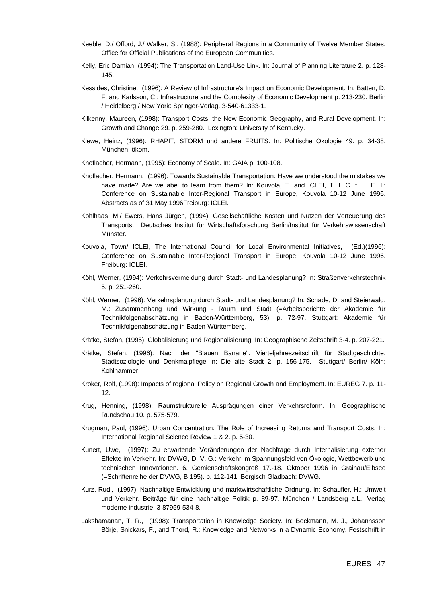- Keeble, D./ Offord, J./ Walker, S., (1988): Peripheral Regions in a Community of Twelve Member States. Office for Official Publications of the European Communities.
- Kelly, Eric Damian, (1994): The Transportation Land-Use Link. In: Journal of Planning Literature 2. p. 128- 145.
- Kessides, Christine, (1996): A Review of Infrastructure's Impact on Economic Development. In: Batten, D. F. and Karlsson, C.: Infrastructure and the Complexity of Economic Development p. 213-230. Berlin / Heidelberg / New York: Springer-Verlag. 3-540-61333-1.
- Kilkenny, Maureen, (1998): Transport Costs, the New Economic Geography, and Rural Development. In: Growth and Change 29. p. 259-280. Lexington: University of Kentucky.
- Klewe, Heinz, (1996): RHAPIT, STORM und andere FRUITS. In: Politische Ökologie 49. p. 34-38. München: ökom.
- Knoflacher, Hermann, (1995): Economy of Scale. In: GAIA p. 100-108.
- Knoflacher, Hermann, (1996): Towards Sustainable Transportation: Have we understood the mistakes we have made? Are we abel to learn from them? In: Kouvola, T. and ICLEI, T. I. C. f. L. E. I.: Conference on Sustainable Inter-Regional Transport in Europe, Kouvola 10-12 June 1996. Abstracts as of 31 May 1996Freiburg: ICLEI.
- Kohlhaas, M./ Ewers, Hans Jürgen, (1994): Gesellschaftliche Kosten und Nutzen der Verteuerung des Transports. Deutsches Institut für Wirtschaftsforschung Berlin/Institut für Verkehrswissenschaft Münster.
- Kouvola, Town/ ICLEI, The International Council for Local Environmental Initiatives, (Ed.)(1996): Conference on Sustainable Inter-Regional Transport in Europe, Kouvola 10-12 June 1996. Freiburg: ICLEI.
- Köhl, Werner, (1994): Verkehrsvermeidung durch Stadt- und Landesplanung? In: Straßenverkehrstechnik 5. p. 251-260.
- Köhl, Werner, (1996): Verkehrsplanung durch Stadt- und Landesplanung? In: Schade, D. and Steierwald, M.: Zusammenhang und Wirkung - Raum und Stadt (=Arbeitsberichte der Akademie für Technikfolgenabschätzung in Baden-Württemberg, 53). p. 72-97. Stuttgart: Akademie für Technikfolgenabschätzung in Baden-Württemberg.
- Krätke, Stefan, (1995): Globalisierung und Regionalisierung. In: Geographische Zeitschrift 3-4. p. 207-221.
- Krätke, Stefan, (1996): Nach der "Blauen Banane". Vierteljahreszeitschrift für Stadtgeschichte, Stadtsoziologie und Denkmalpflege In: Die alte Stadt 2. p. 156-175. Stuttgart/ Berlin/ Köln: Kohlhammer.
- Kroker, Rolf, (1998): Impacts of regional Policy on Regional Growth and Employment. In: EUREG 7. p. 11- 12.
- Krug, Henning, (1998): Raumstrukturelle Ausprägungen einer Verkehrsreform. In: Geographische Rundschau 10. p. 575-579.
- Krugman, Paul, (1996): Urban Concentration: The Role of Increasing Returns and Transport Costs. In: International Regional Science Review 1 & 2. p. 5-30.
- Kunert, Uwe, (1997): Zu erwartende Veränderungen der Nachfrage durch Internalisierung externer Effekte im Verkehr. In: DVWG, D. V. G.: Verkehr im Spannungsfeld von Ökologie, Wettbewerb und technischen Innovationen. 6. Gemienschaftskongreß 17.-18. Oktober 1996 in Grainau/Eibsee (=Schriftenreihe der DVWG, B 195). p. 112-141. Bergisch Gladbach: DVWG.
- Kurz, Rudi, (1997): Nachhaltige Entwicklung und marktwirtschaftliche Ordnung. In: Schaufler, H.: Umwelt und Verkehr. Beiträge für eine nachhaltige Politik p. 89-97. München / Landsberg a.L.: Verlag moderne industrie. 3-87959-534-8.
- Lakshamanan, T. R., (1998): Transportation in Knowledge Society. In: Beckmann, M. J., Johannsson Börje, Snickars, F., and Thord, R.: Knowledge and Networks in a Dynamic Economy. Festschrift in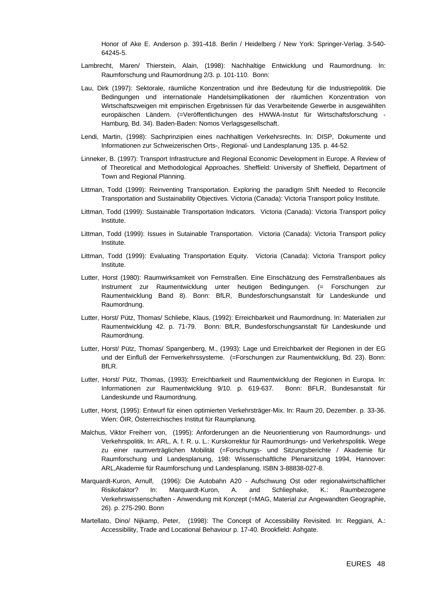Honor of Ake E. Anderson p. 391-418. Berlin / Heidelberg / New York: Springer-Verlag. 3-540- 64245-5.

- Lambrecht, Maren/ Thierstein, Alain, (1998): Nachhaltige Entwicklung und Raumordnung. In: Raumforschung und Raumordnung 2/3. p. 101-110. Bonn:
- Lau, Dirk (1997): Sektorale, räumliche Konzentration und ihre Bedeutung für die Industriepolitik. Die Bedingungen und internationale Handelsimplikationen der räumlichen Konzentration von Wirtschaftszweigen mit empirischen Ergebnissen für das Verarbeitende Gewerbe in ausgewählten europäischen Ländern. (=Veröffentlichungen des HWWA-Instut für Wirtschaftsforschung - Hamburg, Bd. 34). Baden-Baden: Nomos Verlagsgesellschaft.
- Lendi, Martin, (1998): Sachprinzipien eines nachhaltigen Verkehrsrechts. In: DISP, Dokumente und Informationen zur Schweizerischen Orts-, Regional- und Landesplanung 135. p. 44-52.
- Linneker, B. (1997): Transport Infrastructure and Regional Economic Development in Europe. A Review of of Theoretical and Methodological Approaches. Sheffield: University of Sheffield, Department of Town and Regional Planning.
- Littman, Todd (1999): Reinventing Transportation. Exploring the paradigm Shift Needed to Reconcile Transportation and Sustainability Objectives. Victoria (Canada): Victoria Transport policy Institute.
- Littman, Todd (1999): Sustainable Transportation Indicators. Victoria (Canada): Victoria Transport policy Institute.
- Littman, Todd (1999): Issues in Sutainable Transportation. Victoria (Canada): Victoria Transport policy Institute.
- Littman, Todd (1999): Evaluating Transportation Equity. Victoria (Canada): Victoria Transport policy Institute.
- Lutter, Horst (1980): Raumwirksamkeit von Fernstraßen. Eine Einschätzung des Fernstraßenbaues als Instrument zur Raumentwicklung unter heutigen Bedingungen. (= Forschungen zur Raumentwicklung Band 8). Bonn: BfLR, Bundesforschungsanstalt für Landeskunde und Raumordnung.
- Lutter, Horst/ Pütz, Thomas/ Schliebe, Klaus, (1992): Erreichbarkeit und Raumordnung. In: Materialien zur Raumentwicklung 42. p. 71-79. Bonn: BfLR, Bundesforschungsanstalt für Landeskunde und Raumordnung.
- Lutter, Horst/ Pütz, Thomas/ Spangenberg, M., (1993): Lage und Erreichbarkeit der Regionen in der EG und der Einfluß der Fernverkehrssysteme. (=Forschungen zur Raumentwicklung, Bd. 23). Bonn: BfLR.
- Lutter, Horst/ Pütz, Thomas, (1993): Erreichbarkeit und Raumentwicklung der Regionen in Europa. In: Informationen zur Raumentwicklung 9/10. p. 619-637. Bonn: BFLR, Bundesanstalt für Landeskunde und Raumordnung.
- Lutter, Horst, (1995): Entwurf für einen optimierten Verkehrsträger-Mix. In: Raum 20, Dezember. p. 33-36. Wien: ÖIR, Österreichisches Institut für Raumplanung.
- Malchus, Viktor Freiherr von, (1995): Anforderungen an die Neuorientierung von Raumordnungs- und Verkehrspolitik. In: ARL, A. f. R. u. L.: Kurskorrektur für Raumordnungs- und Verkehrspolitik. Wege zu einer raumverträglichen Mobilität (=Forschungs- und Sitzungsberichte / Akademie für Raumforschung und Landesplanung, 198: Wissenschaftliche Plenarsitzung 1994, Hannover: ARL,Akademie für Raumforschung und Landesplanung. ISBN 3-88838-027-8.
- Marquardt-Kuron, Arnulf, (1996): Die Autobahn A20 Aufschwung Ost oder regionalwirtschaftlicher Risikofaktor? In: Marquardt-Kuron, A. and Schliephake, K.: Raumbezogene Verkehrswissenschaften - Anwendung mit Konzept (=MAG, Material zur Angewandten Geographie, 26). p. 275-290. Bonn
- Martellato, Dino/ Nijkamp, Peter, (1998): The Concept of Accessibility Revisited. In: Reggiani, A.: Accessibility, Trade and Locational Behaviour p. 17-40. Brookfield: Ashgate.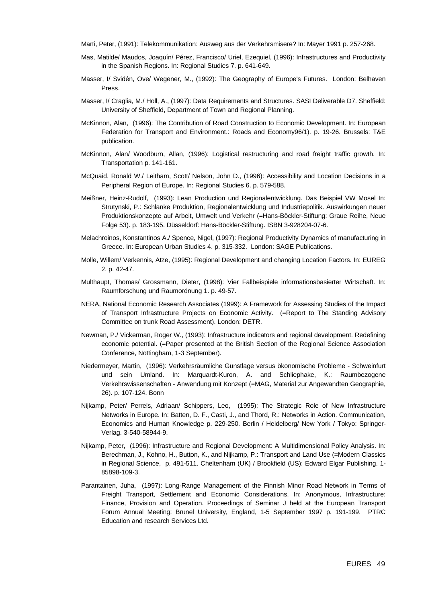Marti, Peter, (1991): Telekommunikation: Ausweg aus der Verkehrsmisere? In: Mayer 1991 p. 257-268.

- Mas, Matilde/ Maudos, Joaquín/ Pérez, Francisco/ Uriel, Ezequiel, (1996): Infrastructures and Productivity in the Spanish Regions. In: Regional Studies 7. p. 641-649.
- Masser, I/ Svidén, Ove/ Wegener, M., (1992): The Geography of Europe's Futures. London: Belhaven Press.
- Masser, I/ Craglia, M./ Holl, A., (1997): Data Requirements and Structures. SASI Deliverable D7. Sheffield: University of Sheffield, Department of Town and Regional Planning.
- McKinnon, Alan, (1996): The Contribution of Road Construction to Economic Development. In: European Federation for Transport and Environment.: Roads and Economy96/1). p. 19-26. Brussels: T&E publication.
- McKinnon, Alan/ Woodburn, Allan, (1996): Logistical restructuring and road freight traffic growth. In: Transportation p. 141-161.
- McQuaid, Ronald W./ Leitham, Scott/ Nelson, John D., (1996): Accessibility and Location Decisions in a Peripheral Region of Europe. In: Regional Studies 6. p. 579-588.
- Meißner, Heinz-Rudolf, (1993): Lean Production und Regionalentwicklung. Das Beispiel VW Mosel In: Strutynski, P.: Schlanke Produktion, Regionalentwicklung und Industriepolitik. Auswirkungen neuer Produktionskonzepte auf Arbeit, Umwelt und Verkehr (=Hans-Böckler-Stiftung: Graue Reihe, Neue Folge 53). p. 183-195. Düsseldorf: Hans-Böckler-Stiftung. ISBN 3-928204-07-6.
- Melachroinos, Konstantinos A./ Spence, Nigel, (1997): Regional Productivity Dynamics of manufacturing in Greece. In: European Urban Studies 4. p. 315-332. London: SAGE Publications.
- Molle, Willem/ Verkennis, Atze, (1995): Regional Development and changing Location Factors. In: EUREG 2. p. 42-47.
- Multhaupt, Thomas/ Grossmann, Dieter, (1998): Vier Fallbeispiele informationsbasierter Wirtschaft. In: Raumforschung und Raumordnung 1. p. 49-57.
- NERA, National Economic Research Associates (1999): A Framework for Assessing Studies of the Impact of Transport Infrastructure Projects on Economic Activity. (=Report to The Standing Advisory Committee on trunk Road Assessment). London: DETR.
- Newman, P./ Vickerman, Roger W., (1993): Infrastructure indicators and regional development. Redefining economic potential. (=Paper presented at the British Section of the Regional Science Association Conference, Nottingham, 1-3 September).
- Niedermeyer, Martin, (1996): Verkehrsräumliche Gunstlage versus ökonomische Probleme Schweinfurt und sein Umland. In: Marquardt-Kuron, A. and Schliephake, K.: Raumbezogene Verkehrswissenschaften - Anwendung mit Konzept (=MAG, Material zur Angewandten Geographie, 26). p. 107-124. Bonn
- Nijkamp, Peter/ Perrels, Adriaan/ Schippers, Leo, (1995): The Strategic Role of New Infrastructure Networks in Europe. In: Batten, D. F., Casti, J., and Thord, R.: Networks in Action. Communication, Economics and Human Knowledge p. 229-250. Berlin / Heidelberg/ New York / Tokyo: Springer-Verlag. 3-540-58944-9.
- Nijkamp, Peter, (1996): Infrastructure and Regional Development: A Multidimensional Policy Analysis. In: Berechman, J., Kohno, H., Button, K., and Nijkamp, P.: Transport and Land Use (=Modern Classics in Regional Science, p. 491-511. Cheltenham (UK) / Brookfield (US): Edward Elgar Publishing. 1- 85898-109-3.
- Parantainen, Juha, (1997): Long-Range Management of the Finnish Minor Road Network in Terms of Freight Transport, Settlement and Economic Considerations. In: Anonymous, Infrastructure: Finance, Provision and Operation. Proceedings of Seminar J held at the European Transport Forum Annual Meeting: Brunel University, England, 1-5 September 1997 p. 191-199. PTRC Education and research Services Ltd.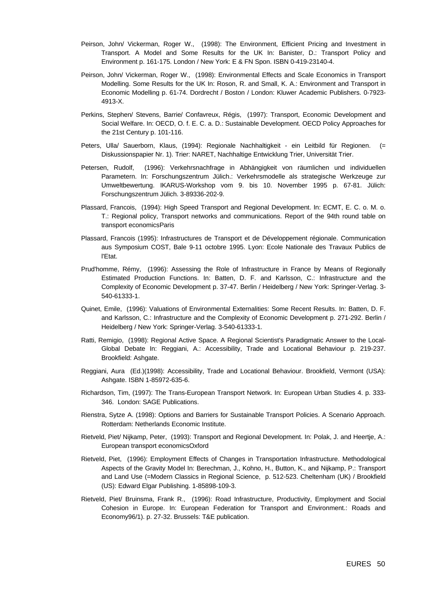- Peirson, John/ Vickerman, Roger W., (1998): The Environment, Efficient Pricing and Investment in Transport. A Model and Some Results for the UK In: Banister, D.: Transport Policy and Environment p. 161-175. London / New York: E & FN Spon. ISBN 0-419-23140-4.
- Peirson, John/ Vickerman, Roger W., (1998): Environmental Effects and Scale Economics in Transport Modelling. Some Results for the UK In: Roson, R. and Small, K. A.: Environment and Transport in Economic Modelling p. 61-74. Dordrecht / Boston / London: Kluwer Academic Publishers. 0-7923- 4913-X.
- Perkins, Stephen/ Stevens, Barrie/ Confavreux, Régis, (1997): Transport, Economic Development and Social Welfare. In: OECD, O. f. E. C. a. D.: Sustainable Development. OECD Policy Approaches for the 21st Century p. 101-116.
- Peters, Ulla/ Sauerborn, Klaus, (1994): Regionale Nachhaltigkeit ein Leitbild für Regionen. (= Diskussionspapier Nr. 1). Trier: NARET, Nachhaltige Entwicklung Trier, Universität Trier.
- Petersen, Rudolf, (1996): Verkehrsnachfrage in Abhängigkeit von räumlichen und individuellen Parametern. In: Forschungszentrum Jülich.: Verkehrsmodelle als strategische Werkzeuge zur Umweltbewertung. IKARUS-Workshop vom 9. bis 10. November 1995 p. 67-81. Jülich: Forschungszentrum Jülich. 3-89336-202-9.
- Plassard, Francois, (1994): High Speed Transport and Regional Development. In: ECMT, E. C. o. M. o. T.: Regional policy, Transport networks and communications. Report of the 94th round table on transport economicsParis
- Plassard, Francois (1995): Infrastructures de Transport et de Développement régionale. Communication aus Symposium COST, Bale 9-11 octobre 1995. Lyon: Ecole Nationale des Travaux Publics de l'Etat.
- Prud'homme, Rémy, (1996): Assessing the Role of Infrastructure in France by Means of Regionally Estimated Production Functions. In: Batten, D. F. and Karlsson, C.: Infrastructure and the Complexity of Economic Development p. 37-47. Berlin / Heidelberg / New York: Springer-Verlag. 3- 540-61333-1.
- Quinet, Emile, (1996): Valuations of Environmental Externalities: Some Recent Results. In: Batten, D. F. and Karlsson, C.: Infrastructure and the Complexity of Economic Development p. 271-292. Berlin / Heidelberg / New York: Springer-Verlag. 3-540-61333-1.
- Ratti, Remigio, (1998): Regional Active Space. A Regional Scientist's Paradigmatic Answer to the Local-Global Debate In: Reggiani, A.: Accessibility, Trade and Locational Behaviour p. 219-237. Brookfield: Ashgate.
- Reggiani, Aura (Ed.)(1998): Accessibility, Trade and Locational Behaviour. Brookfield, Vermont (USA): Ashgate. ISBN 1-85972-635-6.
- Richardson, Tim, (1997): The Trans-European Transport Network. In: European Urban Studies 4. p. 333- 346. London: SAGE Publications.
- Rienstra, Sytze A. (1998): Options and Barriers for Sustainable Transport Policies. A Scenario Approach. Rotterdam: Netherlands Economic Institute.
- Rietveld, Piet/ Nijkamp, Peter, (1993): Transport and Regional Development. In: Polak, J. and Heertje, A.: European transport economicsOxford
- Rietveld, Piet, (1996): Employment Effects of Changes in Transportation Infrastructure. Methodological Aspects of the Gravity Model In: Berechman, J., Kohno, H., Button, K., and Nijkamp, P.: Transport and Land Use (=Modern Classics in Regional Science, p. 512-523. Cheltenham (UK) / Brookfield (US): Edward Elgar Publishing. 1-85898-109-3.
- Rietveld, Piet/ Bruinsma, Frank R., (1996): Road Infrastructure, Productivity, Employment and Social Cohesion in Europe. In: European Federation for Transport and Environment.: Roads and Economy96/1). p. 27-32. Brussels: T&E publication.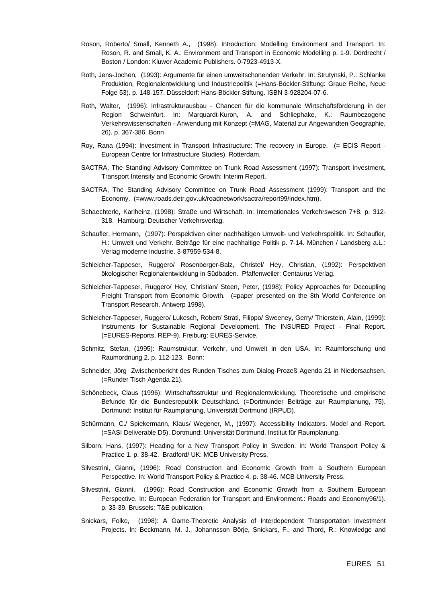- Roson, Roberto/ Small, Kenneth A., (1998): Introduction: Modelling Environment and Transport. In: Roson, R. and Small, K. A.: Environment and Transport in Economic Modelling p. 1-9. Dordrecht / Boston / London: Kluwer Academic Publishers. 0-7923-4913-X.
- Roth, Jens-Jochen, (1993): Argumente für einen umweltschonenden Verkehr. In: Strutynski, P.: Schlanke Produktion, Regionalentwicklung und Industriepolitik (=Hans-Böckler-Stiftung: Graue Reihe, Neue Folge 53). p. 148-157. Düsseldorf: Hans-Böckler-Stiftung. ISBN 3-928204-07-6.
- Roth, Walter, (1996): Infrastrukturausbau Chancen für die kommunale Wirtschaftsförderung in der Region Schweinfurt. In: Marquardt-Kuron, A. and Schliephake, K.: Raumbezogene Verkehrswissenschaften - Anwendung mit Konzept (=MAG, Material zur Angewandten Geographie, 26). p. 367-386. Bonn
- Roy, Rana (1994): Investment in Transport Infrastructure: The recovery in Europe. (= ECIS Report European Centre for Infrastructure Studies). Rotterdam.
- SACTRA, The Standing Advisory Committee on Trunk Road Assessment (1997): Transport Investment, Transport Intensity and Economic Growth: Interim Report.
- SACTRA, The Standing Advisory Committee on Trunk Road Assessment (1999): Transport and the Economy. (=www.roads.detr.gov.uk/roadnetwork/sactra/report99/index.htm).
- Schaechterle, Karlheinz, (1998): Straße und Wirtschaft. In: Internationales Verkehrswesen 7+8. p. 312- 318. Hamburg: Deutscher Verkehrsverlag.
- Schaufler, Hermann, (1997): Perspektiven einer nachhaltigen Umwelt- und Verkehrspolitik. In: Schaufler, H.: Umwelt und Verkehr. Beiträge für eine nachhaltige Politik p. 7-14. München / Landsberg a.L.: Verlag moderne industrie. 3-87959-534-8.
- Schleicher-Tappeser, Ruggero/ Rosenberger-Balz, Christel/ Hey, Christian, (1992): Perspektiven ökologischer Regionalentwicklung in Südbaden. Pfaffenweiler: Centaurus Verlag.
- Schleicher-Tappeser, Ruggero/ Hey, Christian/ Steen, Peter, (1998): Policy Approaches for Decoupling Freight Transport from Economic Growth. (=paper presented on the 8th World Conference on Transport Research, Antwerp 1998).
- Schleicher-Tappeser, Ruggero/ Lukesch, Robert/ Strati, Filippo/ Sweeney, Gerry/ Thierstein, Alain, (1999): Instruments for Sustainable Regional Development. The INSURED Project - Final Report. (=EURES-Reports, REP-9). Freiburg: EURES-Service.
- Schmitz, Stefan, (1995): Raumstruktur, Verkehr, und Umwelt in den USA. In: Raumforschung und Raumordnung 2. p. 112-123. Bonn:
- Schneider, Jörg Zwischenbericht des Runden Tisches zum Dialog-Prozeß Agenda 21 in Niedersachsen. (=Runder Tisch Agenda 21).
- Schönebeck, Claus (1996): Wirtschaftsstruktur und Regionalentwicklung. Theoretische und empirische Befunde für die Bundesrepublik Deutschland. (=Dortmunder Beiträge zur Raumplanung, 75). Dortmund: Institut für Raumplanung, Universität Dortmund (IRPUD).
- Schürmann, C./ Spiekermann, Klaus/ Wegener, M., (1997): Accessibility Indicators. Model and Report. (=SASI Deliverable D5). Dortmund: Universität Dortmund, Institut für Raumplanung.
- Silborn, Hans, (1997): Heading for a New Transport Policy in Sweden. In: World Transport Policy & Practice 1. p. 38-42. Bradford/ UK: MCB University Press.
- Silvestrini, Gianni, (1996): Road Construction and Economic Growth from a Southern European Perspective. In: World Transport Policy & Practice 4. p. 38-46. MCB University Press.
- Silvestrini, Gianni, (1996): Road Construction and Economic Growth from a Southern European Perspective. In: European Federation for Transport and Environment.: Roads and Economy96/1). p. 33-39. Brussels: T&E publication.
- Snickars, Folke, (1998): A Game-Theoretic Analysis of Interdependent Transportation Investment Projects. In: Beckmann, M. J., Johannsson Börje, Snickars, F., and Thord, R.: Knowledge and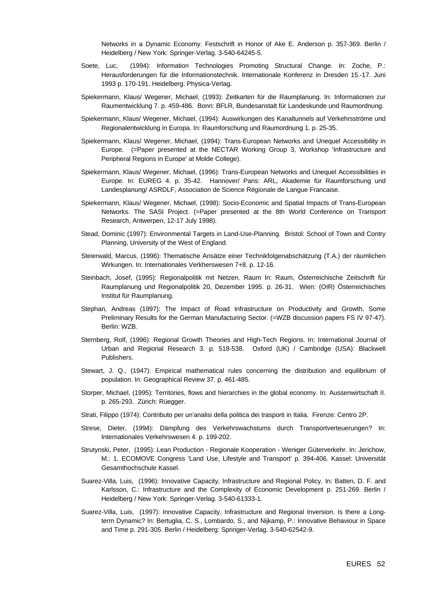Networks in a Dynamic Economy. Festschrift in Honor of Ake E. Anderson p. 357-369. Berlin / Heidelberg / New York: Springer-Verlag. 3-540-64245-5.

- Soete, Luc, (1994): Information Technologies Promoting Structural Change. In: Zoche, P.: Herausforderungen für die Informationstechnik. Internationale Konferenz in Dresden 15.-17. Juni 1993 p. 170-191. Heidelberg: Physica-Verlag.
- Spiekermann, Klaus/ Wegener, Michael, (1993): Zeitkarten für die Raumplanung. In: Informationen zur Raumentwicklung 7. p. 459-486. Bonn: BFLR, Bundesanstalt für Landeskunde und Raumordnung.
- Spiekermann, Klaus/ Wegener, Michael, (1994): Auswirkungen des Kanaltunnels auf Verkehrsströme und Regionalentwicklung in Europa. In: Raumforschung und Raumordnung 1. p. 25-35.
- Spiekermann, Klaus/ Wegener, Michael, (1994): Trans-European Networks and Unequel Accessibility in Europe. (=Paper presented at the NECTAR Working Group 3, Workshop 'Infrastructure and Peripheral Regions in Europe' at Molde College).
- Spiekermann, Klaus/ Wegener, Michael, (1996): Trans-European Networks and Unequel Accessibilities in Europe. In: EUREG 4. p. 35-42. Hannover/ Paris: ARL, Akademie für Raumforschung und Landesplanung/ ASRDLF, Association de Science Régionale de Langue Francaise.
- Spiekermann, Klaus/ Wegener, Michael, (1998): Socio-Economic and Spatial Impacts of Trans-European Networks. The SASI Project. (=Paper presented at the 8th World Conference on Transport Research, Antwerpen, 12-17 July 1998).
- Stead, Dominic (1997): Environmental Targets in Land-Use-Planning. Bristol: School of Town and Contry Planning, University of the West of England.
- Steierwald, Marcus, (1996): Thematische Ansätze einer Technikfolgenabschätzung (T.A.) der räumlichen Wirkungen. In: Internationales Verkherswesen 7+8. p. 12-16.
- Steinbach, Josef, (1995): Regionalpolitik mit Netzen. Raum In: Raum, Österreichische Zeitschrift für Raumplanung und Regionalpolitik 20, Dezember 1995. p. 26-31. Wien: (OIR) Österreichisches Institut für Raumplanung.
- Stephan, Andreas (1997): The Impact of Road Infrastructure on Productivity and Growth. Some Preliminary Results for the German Manufacturing Sector. (=WZB discussion papers FS IV 97-47). Berlin: WZB.
- Sternberg, Rolf, (1996): Regional Growth Theories and High-Tech Regions. In: International Journal of Urban and Regional Research 3. p. 518-538. Oxford (UK) / Cambridge (USA): Blackwell Publishers.
- Stewart, J. Q., (1947): Empirical mathematical rules concerning the distribution and equilibrium of population. In: Geographical Review 37. p. 461-485.
- Storper, Michael, (1995): Territories, flows and hierarchies in the global economy. In: Aussenwirtschaft II. p. 265-293. Zürich: Rüegger.
- Strati, Filippo (1974): Contributo per un'analisi della politica dei trasporti in Italia. Firenze: Centro 2P.
- Strese, Dieter, (1994): Dämpfung des Verkehrswachstums durch Transportverteuerungen? In: Internationales Verkehrswesen 4. p. 199-202.
- Strutynski, Peter, (1995): Lean Production Regionale Kooperation Weniger Güterverkehr. In: Jerichow, M.: 1. ECOMOVE Congress 'Land Use, Lifestyle and Transport' p. 394-406. Kassel: Universität Gesamthochschule Kassel.
- Suarez-Villa, Luis, (1996): Innovative Capacity, Infrastructure and Regional Policy. In: Batten, D. F. and Karlsson, C.: Infrastructure and the Complexity of Economic Development p. 251-269. Berlin / Heidelberg / New York: Springer-Verlag. 3-540-61333-1.
- Suarez-Villa, Luis, (1997): Innovative Capacity, Infrastructure and Regional Inversion. Is there a Longterm Dynamic? In: Bertuglia, C. S., Lombardo, S., and Nijkamp, P.: Innovative Behaviour in Space and Time p. 291-305. Berlin / Heidelberg: Springer-Verlag. 3-540-62542-9.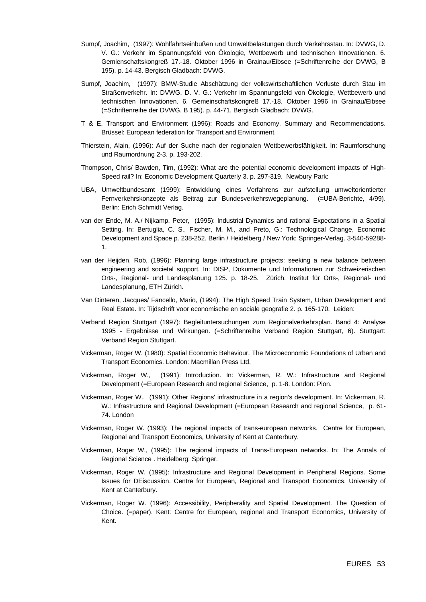- Sumpf, Joachim, (1997): Wohlfahrtseinbußen und Umweltbelastungen durch Verkehrsstau. In: DVWG, D. V. G.: Verkehr im Spannungsfeld von Ökologie, Wettbewerb und technischen Innovationen. 6. Gemienschaftskongreß 17.-18. Oktober 1996 in Grainau/Eibsee (=Schriftenreihe der DVWG, B 195). p. 14-43. Bergisch Gladbach: DVWG.
- Sumpf, Joachim, (1997): BMW-Studie Abschätzung der volkswirtschaftlichen Verluste durch Stau im Straßenverkehr. In: DVWG, D. V. G.: Verkehr im Spannungsfeld von Ökologie, Wettbewerb und technischen Innovationen. 6. Gemeinschaftskongreß 17.-18. Oktober 1996 in Grainau/Eibsee (=Schriftenreihe der DVWG, B 195). p. 44-71. Bergisch Gladbach: DVWG.
- T & E, Transport and Environment (1996): Roads and Economy. Summary and Recommendations. Brüssel: European federation for Transport and Environment.
- Thierstein, Alain, (1996): Auf der Suche nach der regionalen Wettbewerbsfähigkeit. In: Raumforschung und Raumordnung 2-3. p. 193-202.
- Thompson, Chris/ Bawden, Tim, (1992): What are the potential economic development impacts of High-Speed rail? In: Economic Development Quarterly 3. p. 297-319. Newbury Park:
- UBA, Umweltbundesamt (1999): Entwicklung eines Verfahrens zur aufstellung umweltorientierter Fernverkehrskonzepte als Beitrag zur Bundesverkehrswegeplanung. (=UBA-Berichte, 4/99). Berlin: Erich Schmidt Verlag.
- van der Ende, M. A./ Nijkamp, Peter, (1995): Industrial Dynamics and rational Expectations in a Spatial Setting. In: Bertuglia, C. S., Fischer, M. M., and Preto, G.: Technological Change, Economic Development and Space p. 238-252. Berlin / Heidelberg / New York: Springer-Verlag. 3-540-59288- 1.
- van der Heijden, Rob, (1996): Planning large infrastructure projects: seeking a new balance between engineering and societal support. In: DISP, Dokumente und Informationen zur Schweizerischen Orts-, Regional- und Landesplanung 125. p. 18-25. Zürich: Institut für Orts-, Regional- und Landesplanung, ETH Zürich.
- Van Dinteren, Jacques/ Fancello, Mario, (1994): The High Speed Train System, Urban Development and Real Estate. In: Tijdschrift voor economische en sociale geografie 2. p. 165-170. Leiden:
- Verband Region Stuttgart (1997): Begleituntersuchungen zum Regionalverkehrsplan. Band 4: Analyse 1995 - Ergebnisse und Wirkungen. (=Schriftenreihe Verband Region Stuttgart, 6). Stuttgart: Verband Region Stuttgart.
- Vickerman, Roger W. (1980): Spatial Economic Behaviour. The Microeconomic Foundations of Urban and Transport Economics. London: Macmillan Press Ltd.
- Vickerman, Roger W., (1991): Introduction. In: Vickerman, R. W.: Infrastructure and Regional Development (=European Research and regional Science, p. 1-8. London: Pion.
- Vickerman, Roger W., (1991): Other Regions' infrastructure in a region's development. In: Vickerman, R. W.: Infrastructure and Regional Development (=European Research and regional Science, p. 61- 74. London
- Vickerman, Roger W. (1993): The regional impacts of trans-european networks. Centre for European, Regional and Transport Economics, University of Kent at Canterbury.
- Vickerman, Roger W., (1995): The regional impacts of Trans-European networks. In: The Annals of Regional Science . Heidelberg: Springer.
- Vickerman, Roger W. (1995): Infrastructure and Regional Development in Peripheral Regions. Some Issues for DEiscussion. Centre for European, Regional and Transport Economics, University of Kent at Canterbury.
- Vickerman, Roger W. (1996): Accessibility, Peripherality and Spatial Development. The Question of Choice. (=paper). Kent: Centre for European, regional and Transport Economics, University of Kent.